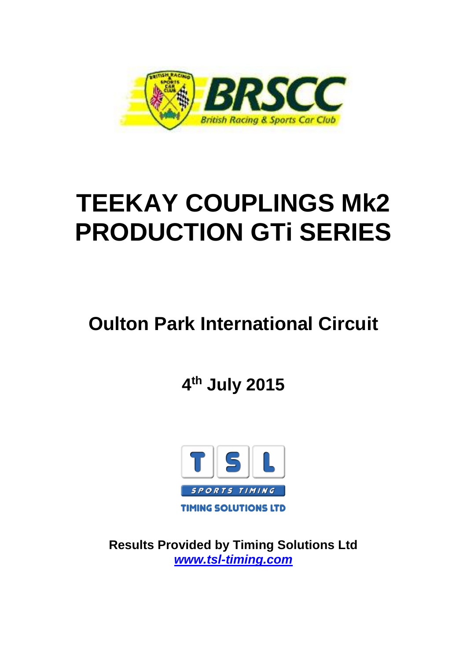

# **TEEKAY COUPLINGS Mk2 PRODUCTION GTi SERIES**

# **Oulton Park International Circuit**

**4 th July 2015**



**Results Provided by Timing Solutions Ltd**  *www.tsl-timing.com*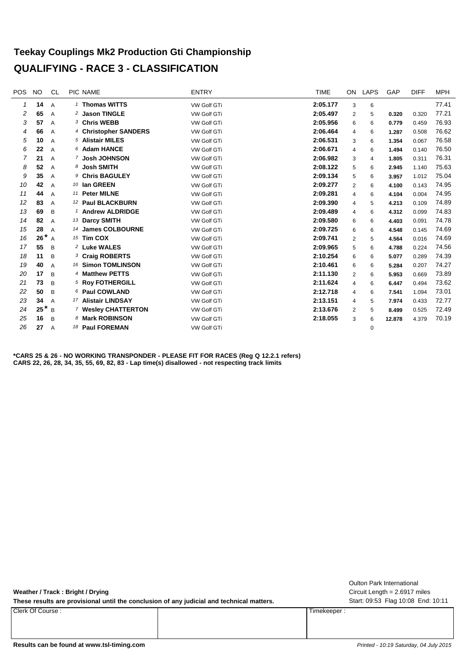#### **Teekay Couplings Mk2 Production Gti Championship QUALIFYING - RACE 3 - CLASSIFICATION**

| <b>POS</b>     | <b>NO</b>           | <b>CL</b>      | PIC NAME                   | <b>ENTRY</b>       | <b>TIME</b> | ON             | <b>LAPS</b> | GAP    | <b>DIFF</b> | <b>MPH</b> |
|----------------|---------------------|----------------|----------------------------|--------------------|-------------|----------------|-------------|--------|-------------|------------|
| 1              | 14                  | $\overline{A}$ | 1 Thomas WITTS             | <b>VW Golf GTi</b> | 2:05.177    | 3              | 6           |        |             | 77.41      |
| 2              | 65                  | $\overline{A}$ | <sup>2</sup> Jason TINGLE  | VW Golf GTi        | 2:05.497    | $\overline{2}$ | 5           | 0.320  | 0.320       | 77.21      |
| 3              | 57                  | $\overline{A}$ | 3 Chris WEBB               | <b>VW Golf GTi</b> | 2:05.956    | 6              | 6           | 0.779  | 0.459       | 76.93      |
| 4              | 66                  | A              | 4 Christopher SANDERS      | VW Golf GTi        | 2:06.464    | 4              | 6           | 1.287  | 0.508       | 76.62      |
| 5              | 10                  | $\overline{A}$ | 5 Alistair MILES           | <b>VW Golf GTi</b> | 2:06.531    | 3              | 6           | 1.354  | 0.067       | 76.58      |
| 6              | 22                  | $\overline{A}$ | 6 Adam HANCE               | VW Golf GTi        | 2:06.671    | 4              | 6           | 1.494  | 0.140       | 76.50      |
| $\overline{7}$ | 21                  | $\overline{A}$ | 7 Josh JOHNSON             | VW Golf GTi        | 2:06.982    | 3              | 4           | 1.805  | 0.311       | 76.31      |
| 8              | 52                  | $\overline{A}$ | 8 Josh SMITH               | VW Golf GTi        | 2:08.122    | 5              | 6           | 2.945  | 1.140       | 75.63      |
| 9              | 35                  | $\overline{A}$ | <sup>9</sup> Chris BAGULEY | <b>VW Golf GTi</b> | 2:09.134    | 5              | 6           | 3.957  | 1.012       | 75.04      |
| 10             | 42                  | $\overline{A}$ | 10 Ian GREEN               | VW Golf GTi        | 2:09.277    | $\overline{2}$ | 6           | 4.100  | 0.143       | 74.95      |
| 11             | 44                  | $\overline{A}$ | 11 Peter MILNE             | <b>VW Golf GTi</b> | 2:09.281    | 4              | 6           | 4.104  | 0.004       | 74.95      |
| 12             | 83                  | $\overline{A}$ | 12 Paul BLACKBURN          | VW Golf GTi        | 2:09.390    | 4              | 5           | 4.213  | 0.109       | 74.89      |
| 13             | 69                  | B              | <b>Andrew ALDRIDGE</b>     | VW Golf GTi        | 2:09.489    | 4              | 6           | 4.312  | 0.099       | 74.83      |
| 14             | 82                  | $\overline{A}$ | 13 Darcy SMITH             | <b>VW Golf GTi</b> | 2:09.580    | 6              | 6           | 4.403  | 0.091       | 74.78      |
| 15             | 28                  | $\overline{A}$ | 14 James COLBOURNE         | VW Golf GTi        | 2:09.725    | 6              | 6           | 4.548  | 0.145       | 74.69      |
| 16             | $26$ <sup>*</sup> A |                | 15 Tim COX                 | VW Golf GTi        | 2:09.741    | $\overline{2}$ | 5           | 4.564  | 0.016       | 74.69      |
| 17             | 55                  | B              | <sup>2</sup> Luke WALES    | <b>VW Golf GTI</b> | 2:09.965    | 5              | 6           | 4.788  | 0.224       | 74.56      |
| 18             | 11                  | B              | 3 Craig ROBERTS            | <b>VW Golf GTi</b> | 2:10.254    | 6              | 6           | 5.077  | 0.289       | 74.39      |
| 19             | 40                  | A              | 16 Simon TOMLINSON         | VW Golf GTi        | 2:10.461    | 6              | 6           | 5.284  | 0.207       | 74.27      |
| 20             | 17                  | B              | 4 Matthew PETTS            | VW Golf GTi        | 2:11.130    | $\overline{2}$ | 6           | 5.953  | 0.669       | 73.89      |
| 21             | 73                  | B              | 5 Roy FOTHERGILL           | VW Golf GTi        | 2:11.624    | 4              | 6           | 6.447  | 0.494       | 73.62      |
| 22             | 50                  | B              | 6 Paul COWLAND             | VW Golf GTi        | 2:12.718    | 4              | 6           | 7.541  | 1.094       | 73.01      |
| 23             | 34                  | A              | 17 Alistair LINDSAY        | <b>VW Golf GTi</b> | 2:13.151    | 4              | 5           | 7.974  | 0.433       | 72.77      |
| 24             | $25^*$ B            |                | 7 Wesley CHATTERTON        | <b>VW Golf GTi</b> | 2:13.676    | $\overline{2}$ | 5           | 8.499  | 0.525       | 72.49      |
| 25             | 16                  | B              | 8 Mark ROBINSON            | VW Golf GTi        | 2:18.055    | 3              | 6           | 12.878 | 4.379       | 70.19      |
| 26             | 27                  | A              | 18 Paul FOREMAN            | VW Golf GTi        |             |                | 0           |        |             |            |
|                |                     |                |                            |                    |             |                |             |        |             |            |

**\*CARS 25 & 26 - NO WORKING TRANSPONDER - PLEASE FIT FOR RACES (Reg Q 12.2.1 refers) CARS 22, 26, 28, 34, 35, 55, 69, 82, 83 - Lap time(s) disallowed - not respecting track limits**

**Weather / Track : Bright / Drying**

These results are provisional until the conclusion of any judicial and technical matters. Start: 09:53 Flag 10:08 End: 10:11

Clerk Of Course : Timekeeper :

Circuit Length = 2.6917 miles Oulton Park International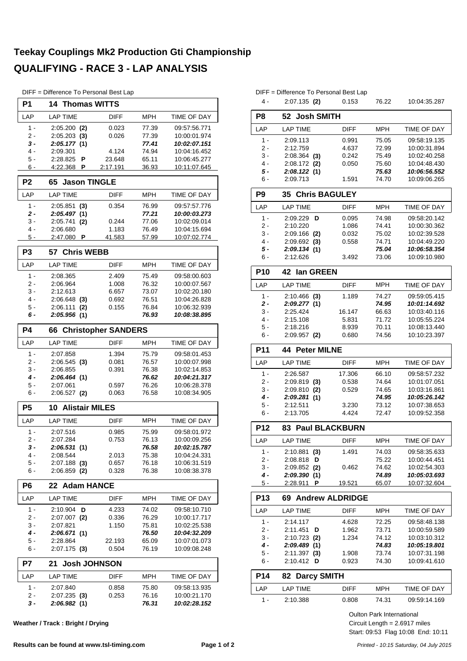# **Teekay Couplings Mk2 Production Gti Championship QUALIFYING - RACE 3 - LAP ANALYSIS**

DIFF = Difference To Personal Best Lap

| י וו ש<br>P1   | - Dilleferice TV Fersorial Dest Lap<br><b>14 Thomas WITTS</b> |                |                |                              |  |  |  |  |  |
|----------------|---------------------------------------------------------------|----------------|----------------|------------------------------|--|--|--|--|--|
|                |                                                               |                |                |                              |  |  |  |  |  |
| LAP            | <b>LAP TIME</b>                                               | <b>DIFF</b>    | <b>MPH</b>     | <b>TIME OF DAY</b>           |  |  |  |  |  |
| $1 -$          | $2:05.200$ (2)                                                | 0.023          | 77.39          | 09:57:56.771                 |  |  |  |  |  |
| 2 -<br>3 -     | 2:05.203<br>(3)                                               | 0.026          | 77.39<br>77.41 | 10:00:01.974<br>10:02:07.151 |  |  |  |  |  |
| 4 -            | 2:05.177 (1)<br>2:09.301                                      | 4.124          | 74.94          | 10:04:16.452                 |  |  |  |  |  |
| 5 -            | 2:28.825<br>Р                                                 | 23.648         | 65.11          | 10:06:45.277                 |  |  |  |  |  |
| 6 -            | 4:22.368<br>P                                                 | 2:17.191       | 36.93          | 10:11:07.645                 |  |  |  |  |  |
| P <sub>2</sub> | 65<br><b>Jason TINGLE</b>                                     |                |                |                              |  |  |  |  |  |
| LAP            | <b>LAP TIME</b>                                               | <b>DIFF</b>    | <b>MPH</b>     | TIME OF DAY                  |  |  |  |  |  |
| $1 -$          | 2:05.851<br>(3)                                               | 0.354          | 76.99          | 09:57:57.776                 |  |  |  |  |  |
| 2 -            | 2:05.497<br>(1)                                               |                | 77.21          | 10:00:03.273                 |  |  |  |  |  |
| 3 -            | 2:05.741<br>(2)                                               | 0.244          | 77.06          | 10:02:09.014                 |  |  |  |  |  |
| 4 -            | 2:06.680                                                      | 1.183          | 76.49          | 10:04:15.694                 |  |  |  |  |  |
| 5 -            | 2:47.080<br>P                                                 | 41.583         | 57.99          | 10:07:02.774                 |  |  |  |  |  |
| P <sub>3</sub> | <b>Chris WEBB</b><br>57                                       |                |                |                              |  |  |  |  |  |
| LAP            | <b>LAP TIME</b>                                               | DIFF           | <b>MPH</b>     | TIME OF DAY                  |  |  |  |  |  |
| $1 -$          | 2:08.365                                                      | 2.409          | 75.49          | 09:58:00.603                 |  |  |  |  |  |
| 2 -            | 2:06.964                                                      | 1.008          | 76.32          | 10:00:07.567                 |  |  |  |  |  |
| 3 -            | 2:12.613                                                      | 6.657          | 73.07          | 10:02:20.180                 |  |  |  |  |  |
| 4 -<br>5 -     | $2:06.648$ (3)<br>2:06.111                                    | 0.692          | 76.51          | 10:04:26.828                 |  |  |  |  |  |
| 6 -            | (2)<br>2:05.956(1)                                            | 0.155          | 76.84<br>76.93 | 10:06:32.939<br>10:08:38.895 |  |  |  |  |  |
|                |                                                               |                |                |                              |  |  |  |  |  |
|                | <b>P4</b><br><b>Christopher SANDERS</b><br>66                 |                |                |                              |  |  |  |  |  |
| LAP            | <b>LAP TIME</b>                                               | <b>DIFF</b>    | <b>MPH</b>     | TIME OF DAY                  |  |  |  |  |  |
| $1 -$          | 2:07.858                                                      | 1.394          | 75.79          | 09:58:01.453                 |  |  |  |  |  |
| 2 -            | $2:06.545$ (3)                                                | 0.081          | 76.57          | 10:00:07.998                 |  |  |  |  |  |
| 3 -            | 2:06.855                                                      | 0.391          | 76.38          | 10:02:14.853                 |  |  |  |  |  |
| $4 -$<br>5 -   | 2:06.464 (1)<br>2:07.061                                      | 0.597          | 76.62<br>76.26 | 10:04:21.317<br>10:06:28.378 |  |  |  |  |  |
| 6 -            | $2:06.527$ (2)                                                | 0.063          | 76.58          | 10:08:34.905                 |  |  |  |  |  |
| P <sub>5</sub> | <b>10 Alistair MILES</b>                                      |                |                |                              |  |  |  |  |  |
|                |                                                               |                |                |                              |  |  |  |  |  |
| LAP            | <b>LAP TIME</b>                                               | <b>DIFF</b>    | MPH            | TIME OF DAY                  |  |  |  |  |  |
| $1 -$          | 2:07.516                                                      | 0.985<br>0.753 | 75.99<br>76.13 | 09:58:01.972                 |  |  |  |  |  |
| 2 -            | 2:07.284                                                      |                |                | 10:00:09.256<br>10:02:15.787 |  |  |  |  |  |
| 3 -<br>4 -     | 2:06.531 (1)<br>2:08.544                                      | 2.013          | 76.58<br>75.38 | 10:04:24.331                 |  |  |  |  |  |
| 5 -            | $2:07.188$ (3)                                                | 0.657          | 76.18          | 10:06:31.519                 |  |  |  |  |  |
| 6 -            | $2:06.859$ (2)                                                | 0.328          | 76.38          | 10:08:38.378                 |  |  |  |  |  |
| P <sub>6</sub> | <b>Adam HANCE</b><br>22                                       |                |                |                              |  |  |  |  |  |
| LAP            | <b>LAP TIME</b>                                               | DIFF           | <b>MPH</b>     | TIME OF DAY                  |  |  |  |  |  |
| $1 -$          | 2:10.904<br>D                                                 | 4.233          | 74.02          | 09:58:10.710                 |  |  |  |  |  |
| 2 -            | $2:07.007$ (2)                                                | 0.336          | 76.29          | 10:00:17.717                 |  |  |  |  |  |
| 3 -            | 2:07.821                                                      | 1.150          | 75.81          | 10:02:25.538                 |  |  |  |  |  |
| 4 -            | 2:06.671 (1)                                                  |                | 76.50          | 10:04:32.209                 |  |  |  |  |  |
| 5 -            | 2:28.864                                                      | 22.193         | 65.09          | 10:07:01.073                 |  |  |  |  |  |
| 6 -            | $2:07.175$ (3)                                                | 0.504          | 76.19          | 10:09:08.248                 |  |  |  |  |  |
| P7             | <b>Josh JOHNSON</b><br>21                                     |                |                |                              |  |  |  |  |  |
| LAP            | LAP TIME                                                      | <b>DIFF</b>    | <b>MPH</b>     | TIME OF DAY                  |  |  |  |  |  |
| $1 -$          | 2:07.840                                                      | 0.858          | 75.80          | 09:58:13.935                 |  |  |  |  |  |
| 2 -            | $2:07.235$ (3)                                                | 0.253          | 76.16          | 10:00:21.170                 |  |  |  |  |  |
| 3 -            | 2:06.982(1)                                                   |                | 76.31          | 10:02:28.152                 |  |  |  |  |  |

**Weather / Track : Bright / Drying**

|                | DIFF = Difference To Personal Best Lap |                |            |                              |
|----------------|----------------------------------------|----------------|------------|------------------------------|
| 4 -            | $2:07.135$ (2)                         | 0.153          | 76.22      | 10:04:35.287                 |
|                |                                        |                |            |                              |
| P8             | 52 Josh SMITH                          |                |            |                              |
| LAP            | <b>LAP TIME</b>                        | <b>DIFF</b>    | <b>MPH</b> | TIME OF DAY                  |
| 1 -            | 2:09.113                               | 0.991          | 75.05      | 09:58:19.135                 |
| $2 -$          | 2:12.759                               | 4.637          | 72.99      | 10:00:31.894                 |
| 3 -            | $2:08.364$ (3)                         | 0.242          | 75.49      | 10:02:40.258                 |
| $4 -$          | $2:08.172$ (2)                         | 0.050          | 75.60      | 10:04:48.430                 |
| 5 -            | 2:08.122(1)                            | 1.591          | 75.63      | 10:06:56.552<br>10:09:06.265 |
| 6 -            | 2:09.713                               |                | 74.70      |                              |
| P <sub>9</sub> | <b>Chris BAGULEY</b><br>35             |                |            |                              |
| LAP            | <b>LAP TIME</b>                        | <b>DIFF</b>    | MPH        | TIME OF DAY                  |
| 1 -            | 2:09.229<br>D                          | 0.095          | 74.98      | 09:58:20.142                 |
| $2 -$          | 2:10.220                               | 1.086          | 74.41      | 10:00:30.362                 |
| 3 -            | $2:09.166$ (2)                         | 0.032          | 75.02      | 10:02:39.528                 |
| $4 -$          | $2:09.692$ (3)                         | 0.558          | 74.71      | 10:04:49.220                 |
| 5 -            | 2:09.134 (1)                           |                | 75.04      | 10:06:58.354                 |
| 6 -            | 2:12.626                               | 3.492          | 73.06      | 10:09:10.980                 |
| <b>P10</b>     | 42<br>lan GREEN                        |                |            |                              |
| LAP            | <b>LAP TIME</b>                        | <b>DIFF</b>    | MPH        | TIME OF DAY                  |
| 1 -            | $2:10.466$ (3)                         | 1.189          | 74.27      | 09:59:05.415                 |
| 2 -            | 2:09.277(1)                            |                | 74.95      | 10:01:14.692                 |
| $3 -$          | 2:25.424                               | 16.147         | 66.63      | 10:03:40.116                 |
| $4 -$          | 2:15.108                               | 5.831          | 71.72      | 10:05:55.224                 |
| 5 -            | 2:18.216                               | 8.939          | 70.11      | 10:08:13.440                 |
| 6 -            | 2:09.957 (2)                           | 0.680          | 74.56      | 10:10:23.397                 |
| <b>P11</b>     | <b>44 Peter MILNE</b>                  |                |            |                              |
|                |                                        |                |            |                              |
| LAP            | <b>LAP TIME</b>                        | <b>DIFF</b>    | MPH        | <b>TIME OF DAY</b>           |
| 1 -            | 2:26.587                               | 17.306         | 66.10      | 09:58:57.232                 |
| $2 -$          | $2:09.819$ (3)                         | 0.538          | 74.64      | 10:01:07.051                 |
| 3 -            | $2:09.810$ (2)                         | 0.529          | 74.65      | 10:03:16.861                 |
| 4 -            | 2:09.281 (1)                           |                | 74.95      | 10:05:26.142                 |
| 5 -            | 2:12.511                               | 3.230          | 73.12      | 10:07:38.653                 |
| 6 -            | 2:13.705                               | 4.424          | 72.47      | 10:09:52.358                 |
| <b>P12</b>     | <b>83 Paul BLACKBURN</b>               |                |            |                              |
| LAP            | <b>LAP TIME</b>                        | <b>DIFF</b>    | <b>MPH</b> | TIME OF DAY                  |
| 1 -            | 2:10.881 (3)                           | 1.491          | 74.03      | 09:58:35.633                 |
| 2 -            | 2:08.818<br>D                          |                | 75.22      | 10:00:44.451                 |
| 3 -            | 2:09.852 (2)                           | 0.462          | 74.62      | 10:02:54.303                 |
| 4 -            | 2:09.390 (1)                           |                | 74.89      | 10:05:03.693                 |
| 5 -            | <u>2:28.911</u><br>Р                   | <u> 19.521</u> | 65.07      | 10:07:32.604                 |
| <b>P13</b>     | <b>69 Andrew ALDRIDGE</b>              |                |            |                              |
| LAP            | <b>LAP TIME</b>                        | DIFF           | <b>MPH</b> | <b>TIME OF DAY</b>           |
| $1 -$          | 2:14.117                               | 4.628          | 72.25      | 09:58:48.138                 |
| 2 -            | 2:11.451<br>D                          | 1.962          | 73.71      | 10:00:59.589                 |
| 3 -            | 2:10.723 (2)                           | 1.234          | 74.12      | 10:03:10.312                 |
| 4 -            | 2:09.489 (1)                           |                | 74.83      | 10:05:19.801                 |
| 5 -            | $2:11.397$ (3)                         | 1.908          | 73.74      | 10:07:31.198                 |
| 6 -            | 2:10.412<br>D                          | 0.923          | 74.30      | 10:09:41.610                 |
| <b>P14</b>     | <b>Darcy SMITH</b><br>82               |                |            |                              |
| LAP            | <b>LAP TIME</b>                        | <b>DIFF</b>    | MPH        | TIME OF DAY                  |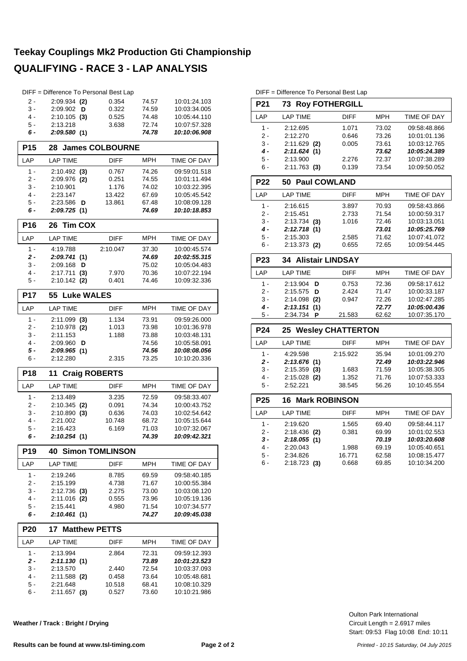# **Teekay Couplings Mk2 Production Gti Championship QUALIFYING - RACE 3 - LAP ANALYSIS**

|                 |                         | DIFF = Difference To Personal Best Lap |                |                              |
|-----------------|-------------------------|----------------------------------------|----------------|------------------------------|
| 2 -             | $2:09.934$ (2)          | 0.354                                  | 74.57          | 10:01:24.103                 |
| 3 -             | 2:09.902<br>D           | 0.322                                  | 74.59          | 10:03:34.005                 |
| 4 -             | $2:10.105$ (3)          | 0.525                                  | 74.48          | 10:05:44.110                 |
| 5 -             | 2:13.218                | 3.638                                  | 72.74          | 10:07:57.328                 |
| 6 -             | 2:09.580(1)             |                                        | 74.78          | 10:10:06.908                 |
| <b>P15</b>      | 28                      | <b>James COLBOURNE</b>                 |                |                              |
| LAP             | <b>LAP TIME</b>         | <b>DIFF</b>                            | <b>MPH</b>     | TIME OF DAY                  |
| $1 -$           | $2:10.492$ (3)          | 0.767                                  | 74.26          | 09:59:01.518                 |
| 2 -             | 2:09.976 (2)            | 0.251                                  | 74.55          | 10:01:11.494                 |
| 3 -             | 2:10.901                | 1.176                                  | 74.02          | 10:03:22.395                 |
| 4 -             | 2:23.147                | 13.422                                 | 67.69          | 10:05:45.542                 |
| 5 -             | 2:23.586<br>D           | 13.861                                 | 67.48          | 10:08:09.128                 |
| 6 -             | 2:09.725(1)             |                                        | 74.69          | 10:10:18.853                 |
| <b>P16</b>      | <b>Tim COX</b><br>26    |                                        |                |                              |
| LAP             | <b>LAP TIME</b>         | DIFF                                   | <b>MPH</b>     | TIME OF DAY                  |
| $1 -$           | 4:19.788                | 2:10.047                               | 37.30          | 10:00:45.574                 |
| $2 -$           | 2:09.741(1)             |                                        | 74.69          | 10:02:55.315                 |
| 3 -             | 2:09.168<br>D           |                                        | 75.02          | 10:05:04.483                 |
| 4 -             | 2:17.711<br>(3)         | 7.970                                  | 70.36          | 10:07:22.194                 |
| 5 -             | $2:10.142$ (2)          | 0.401                                  | 74.46          | 10:09:32.336                 |
| <b>P17</b>      | 55                      | <b>Luke WALES</b>                      |                |                              |
| LAP             | <b>LAP TIME</b>         | <b>DIFF</b>                            | <b>MPH</b>     | TIME OF DAY                  |
| $1 -$           | $2:11.099$ (3)          | 1.134                                  | 73.91          | 09:59:26.000                 |
| $2 -$           | 2:10.978 (2)            | 1.013                                  | 73.98          | 10:01:36.978                 |
| 3 -             | 2:11.153                | 1.188                                  | 73.88          | 10:03:48.131                 |
| 4 -             | 2:09.960<br>D           |                                        | 74.56          | 10:05:58.091                 |
| 5 -             | 2:09.965(1)             |                                        | 74.56          | 10:08:08.056                 |
| 6 -             | 2:12.280                | 2.315                                  | 73.25          | 10:10:20.336                 |
|                 |                         |                                        |                |                              |
| <b>P18</b>      | 11                      | <b>Craig ROBERTS</b>                   |                |                              |
| LAP             | <b>LAP TIME</b>         | DIFF                                   | MPH            | TIME OF DAY                  |
| $1 -$           | 2:13.489                | 3.235                                  | 72.59          | 09:58:33.407                 |
| 2 -             | $2:10.345$ (2)          | 0.091                                  | 74.34          | 10:00:43.752                 |
| 3 -             | $2:10.890$ (3)          | 0.636                                  | 74.03          | 10:02:54.642                 |
| 4 -             | 2:21.002                | 10.748                                 | 68.72          | 10:05:15.644                 |
| 5 -             | 2:16.423                | 6.169                                  | 71.03          | 10:07:32.067                 |
| 6 -             | 2:10.254 (1)            |                                        | 74.39          | 10:09:42.321                 |
| P <sub>19</sub> | 40                      | <b>Simon TOMLINSON</b>                 |                |                              |
| LAP             | <b>LAP TIME</b>         | DIFF                                   | <b>MPH</b>     | TIME OF DAY                  |
| $1 -$           | 2:19.246                | 8.785                                  | 69.59          | 09:58:40.185                 |
| 2 -             | 2:15.199                | 4.738                                  | 71.67          | 10:00:55.384                 |
| 3 -             | $2:12.736$ (3)          | 2.275                                  | 73.00          | 10:03:08.120                 |
| 4 -             | $2:11.016$ (2)          | 0.555                                  | 73.96          | 10:05:19.136                 |
| 5 -             | 2:15.441                | 4.980                                  | 71.54          | 10:07:34.577                 |
| 6 -             | 2:10.461(1)             |                                        | 74.27          | 10:09:45.038                 |
| <b>P20</b>      | 17                      | <b>Matthew PETTS</b>                   |                |                              |
| LAP             | LAP TIME                | DIFF                                   | MPH            | TIME OF DAY                  |
| $1 -$           | 2:13.994                | 2.864                                  | 72.31          | 09:59:12.393                 |
| 2 -             | 2:11.130(1)             |                                        | 73.89          | 10:01:23.523                 |
| 3 -             | 2:13.570                | 2.440                                  | 72.54          | 10:03:37.093                 |
| 4 -             | 2:11.588 (2)            | 0.458                                  | 73.64          | 10:05:48.681                 |
| 5 -<br>6 -      | 2:21.648<br>2:11.657(3) | 10.518<br>0.527                        | 68.41<br>73.60 | 10:08:10.329<br>10:10:21.986 |

**Weather / Track : Bright / Drying**

DIFF = Difference To Personal Best Lap

| <b>P21</b>      | <b>Roy FOTHERGILL</b><br>73 |             |            |                    |  |  |  |
|-----------------|-----------------------------|-------------|------------|--------------------|--|--|--|
| LAP             | <b>LAP TIME</b>             | <b>DIFF</b> | <b>MPH</b> | <b>TIME OF DAY</b> |  |  |  |
| $1 -$           | 2:12.695                    | 1.071       | 73.02      | 09:58:48.866       |  |  |  |
| $2 -$           | 2:12.270                    | 0.646       | 73.26      | 10:01:01.136       |  |  |  |
| $3 -$           | $2:11.629$ (2)              | 0.005       | 73.61      | 10:03:12.765       |  |  |  |
| $4 -$           | 2:11.624(1)                 |             | 73.62      | 10:05:24.389       |  |  |  |
| 5 -             | 2:13.900                    | 2.276       | 72.37      | 10:07:38.289       |  |  |  |
| $6 -$           | $2:11.763$ (3)              | 0.139       | 73.54      | 10:09:50.052       |  |  |  |
| <b>P22</b>      | 50 Paul COWLAND             |             |            |                    |  |  |  |
| LAP             | <b>LAP TIME</b>             | <b>DIFF</b> | <b>MPH</b> | TIME OF DAY        |  |  |  |
| $1 -$           | 2:16.615                    | 3.897       | 70.93      | 09:58:43.866       |  |  |  |
| $2 -$           | 2:15.451                    | 2.733       | 71.54      | 10:00:59.317       |  |  |  |
| $3 -$           | $2:13.734$ (3)              | 1.016       | 72.46      | 10:03:13.051       |  |  |  |
| $4 -$           | 2:12.718 (1)                |             | 73.01      | 10:05:25.769       |  |  |  |
| 5 -             | 2:15.303                    | 2.585       | 71.62      | 10:07:41.072       |  |  |  |
| $6 -$           | $2:13.373$ (2)              | 0.655       | 72.65      | 10:09:54.445       |  |  |  |
| P <sub>23</sub> | <b>34 Alistair LINDSAY</b>  |             |            |                    |  |  |  |
| LAP             | <b>LAP TIME</b>             | <b>DIFF</b> | <b>MPH</b> | <b>TIME OF DAY</b> |  |  |  |
| 1 -             | 2:13.904<br>D               | 0.753       | 72.36      | 09:58:17.612       |  |  |  |
| $2 -$           | 2:15.575<br>D               | 2.424       | 71.47      | 10:00:33.187       |  |  |  |
| $3 -$           | $2:14.098$ (2)              | 0.947       | 72.26      | 10:02:47.285       |  |  |  |
| 4 -             | 2:13.151(1)                 |             | 72.77      | 10:05:00.436       |  |  |  |
| 5 -             | 2:34.734 P                  | 21.583      | 62.62      | 10:07:35.170       |  |  |  |
| P <sub>24</sub> | 25 Wesley CHATTERTON        |             |            |                    |  |  |  |
| LAP             | <b>LAP TIME</b>             | <b>DIFF</b> | <b>MPH</b> | TIME OF DAY        |  |  |  |
| $1 -$           | 4:29.598                    | 2:15.922    | 35.94      | 10:01:09.270       |  |  |  |
| $2 -$           | 2:13.676 (1)                |             | 72.49      | 10:03:22.946       |  |  |  |
| $3 -$           | $2:15.359$ (3)              | 1.683       | 71.59      | 10:05:38.305       |  |  |  |
| $4 -$           | $2:15.028$ (2)              | 1.352       | 71.76      | 10:07:53.333       |  |  |  |
| $5 -$           | 2:52.221                    | 38.545      | 56.26      | 10:10:45.554       |  |  |  |
| P <sub>25</sub> | <b>Mark ROBINSON</b><br>16  |             |            |                    |  |  |  |
| LAP             | <b>LAP TIME</b>             | <b>DIFF</b> | <b>MPH</b> | <b>TIME OF DAY</b> |  |  |  |
| $1 -$           | 2:19.620                    | 1.565       | 69.40      | 09:58:44.117       |  |  |  |
| $2 -$           | $2:18.436$ (2)              | 0.381       | 69.99      | 10:01:02.553       |  |  |  |
| $3 -$           | 2:18.055(1)                 |             | 70.19      | 10:03:20.608       |  |  |  |
| $4 -$           | 2:20.043                    | 1.988       | 69.19      | 10:05:40.651       |  |  |  |
| 5 -             | 2:34.826                    | 16.771      | 62.58      | 10:08:15.477       |  |  |  |
| $6 -$           | $2:18.723$ (3)              | 0.668       | 69.85      | 10:10:34.200       |  |  |  |
|                 |                             |             |            |                    |  |  |  |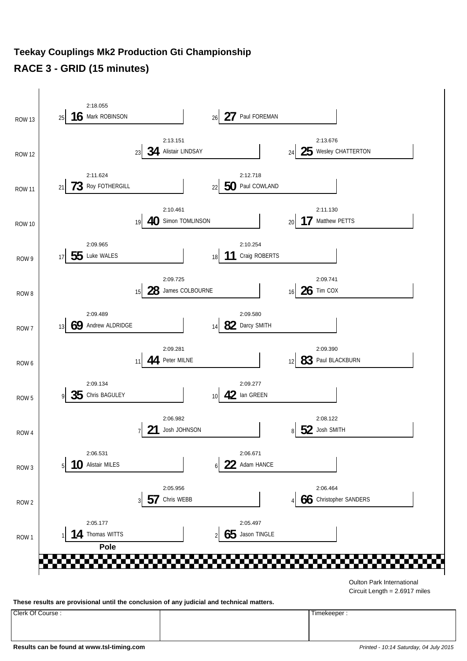#### **Teekay Couplings Mk2 Production Gti Championship RACE 3 - GRID (15 minutes)**



Circuit Length = 2.6917 miles

**These results are provisional until the conclusion of any judicial and technical matters.**

Clerk Of Course : Timekeeper :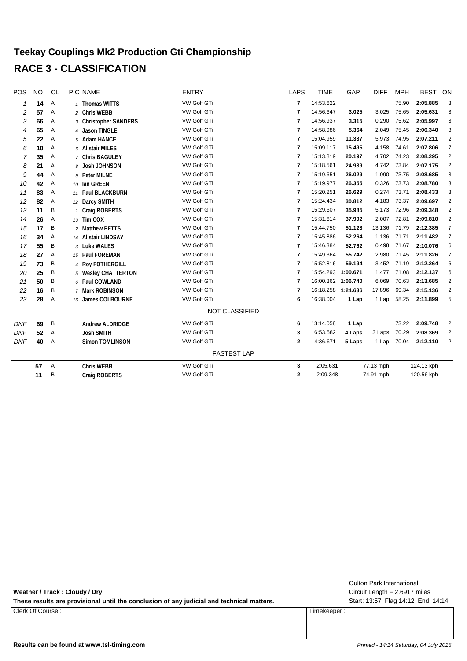#### **Teekay Couplings Mk2 Production Gti Championship RACE 3 - CLASSIFICATION**

| POS          | <b>NO</b> | <b>CL</b> | <b>PIC NAME</b>        | <b>ENTRY</b>          | <b>LAPS</b>    | <b>TIME</b>        | GAP      | <b>DIFF</b> | <b>MPH</b> | <b>BEST</b> | ON             |
|--------------|-----------|-----------|------------------------|-----------------------|----------------|--------------------|----------|-------------|------------|-------------|----------------|
| $\mathcal I$ | 14        | Α         | 1 Thomas WITTS         | VW Golf GTi           | 7              | 14:53.622          |          |             | 75.90      | 2:05.885    | 3              |
| 2            | 57        | Α         | 2 Chris WEBB           | VW Golf GTi           | $\overline{7}$ | 14:56.647          | 3.025    | 3.025       | 75.65      | 2:05.631    | 3              |
| 3            | 66        | Α         | 3 Christopher SANDERS  | VW Golf GTi           | 7              | 14:56.937          | 3.315    | 0.290       | 75.62      | 2:05.997    | 3              |
| 4            | 65        | Α         | 4 Jason TINGLE         | VW Golf GTi           | 7              | 14:58.986          | 5.364    | 2.049       | 75.45      | 2:06.340    | 3              |
| 5            | 22        | Α         | 5 Adam HANCE           | VW Golf GTi           | 7              | 15:04.959          | 11.337   | 5.973       | 74.95      | 2:07.211    | $\overline{2}$ |
| 6            | 10        | Α         | 6 Alistair MILES       | VW Golf GTi           | $\overline{7}$ | 15:09.117          | 15.495   | 4.158       | 74.61      | 2:07.806    | $\overline{7}$ |
| 7            | 35        | Α         | 7 Chris BAGULEY        | VW Golf GTi           | 7              | 15:13.819          | 20.197   | 4.702       | 74.23      | 2:08.295    | $\overline{2}$ |
| 8            | 21        | Α         | 8 Josh JOHNSON         | VW Golf GTi           | 7              | 15:18.561          | 24.939   | 4.742       | 73.84      | 2:07.175    | $\overline{2}$ |
| 9            | 44        | Α         | 9 Peter MILNE          | VW Golf GTi           | $\overline{7}$ | 15:19.651          | 26.029   | 1.090       | 73.75      | 2:08.685    | 3              |
| 10           | 42        | Α         | 10 Ian GREEN           | VW Golf GTi           | 7              | 15:19.977          | 26.355   | 0.326       | 73.73      | 2:08.780    | 3              |
| 11           | 83        | Α         | 11 Paul BLACKBURN      | VW Golf GTi           | $\overline{7}$ | 15:20.251          | 26.629   | 0.274       | 73.71      | 2:08.433    | 3              |
| 12           | 82        | Α         | 12 Darcy SMITH         | VW Golf GTi           | 7              | 15:24.434          | 30.812   | 4.183       | 73.37      | 2:09.697    | $\overline{2}$ |
| 13           | 11        | Β         | 1 Craig ROBERTS        | VW Golf GTi           | 7              | 15:29.607          | 35.985   | 5.173       | 72.96      | 2:09.348    | $\overline{2}$ |
| 14           | 26        | Α         | 13 Tim COX             | VW Golf GTi           | 7              | 15:31.614          | 37.992   | 2.007       | 72.81      | 2:09.810    | $\overline{2}$ |
| 15           | 17        | B         | 2 Matthew PETTS        | VW Golf GTi           | 7              | 15:44.750          | 51.128   | 13.136      | 71.79      | 2:12.385    | $\overline{7}$ |
| 16           | 34        | Α         | 14 Alistair LINDSAY    | VW Golf GTi           | 7              | 15:45.886          | 52.264   | 1.136       | 71.71      | 2:11.482    | $\overline{7}$ |
| 17           | 55        | B         | 3 Luke WALES           | <b>VW Golf GTI</b>    | 7              | 15:46.384          | 52.762   | 0.498       | 71.67      | 2:10.076    | 6              |
| 18           | 27        | Α         | 15 Paul FOREMAN        | VW Golf GTi           | 7              | 15:49.364          | 55.742   | 2.980       | 71.45      | 2:11.826    | $\overline{7}$ |
| 19           | 73        | B         | 4 Roy FOTHERGILL       | VW Golf GTi           | 7              | 15:52.816          | 59.194   | 3.452       | 71.19      | 2:12.264    | 6              |
| 20           | 25        | Β         | 5 Wesley CHATTERTON    | VW Golf GTi           | $\overline{7}$ | 15:54.293          | 1:00.671 | 1.477       | 71.08      | 2:12.137    | 6              |
| 21           | 50        | B         | 6 Paul COWLAND         | VW Golf GTi           | $\overline{7}$ | 16:00.362 1:06.740 |          | 6.069       | 70.63      | 2:13.685    | 2              |
| 22           | 16        | B         | 7 Mark ROBINSON        | VW Golf GTi           | 7              | 16:18.258 1:24.636 |          | 17.896      | 69.34      | 2:15.136    | $\overline{2}$ |
| 23           | 28        | Α         | 16 James COLBOURNE     | VW Golf GTi           | 6              | 16:38.004          | 1 Lap    | 1 Lap       | 58.25      | 2:11.899    | 5              |
|              |           |           |                        | <b>NOT CLASSIFIED</b> |                |                    |          |             |            |             |                |
| <b>DNF</b>   | 69        | B         | <b>Andrew ALDRIDGE</b> | VW Golf GTi           | 6              | 13:14.058          | 1 Lap    |             | 73.22      | 2:09.748    | $\overline{2}$ |
| <b>DNF</b>   | 52        | Α         | <b>Josh SMITH</b>      | VW Golf GTi           | 3              | 6:53.582           | 4 Laps   | 3 Laps      | 70.29      | 2:08.369    | $\overline{2}$ |
| <b>DNF</b>   | 40        | Α         | Simon TOMLINSON        | VW Golf GTi           | 2              | 4:36.671           | 5 Laps   | 1 Lap       | 70.04      | 2:12.110    | $\overline{2}$ |
|              |           |           |                        | <b>FASTEST LAP</b>    |                |                    |          |             |            |             |                |
|              | 57        | Α         | <b>Chris WEBB</b>      | VW Golf GTi           | 3              | 2:05.631           |          | 77.13 mph   |            | 124.13 kph  |                |
|              | 11        | Β         | Craig ROBERTS          | VW Golf GTi           | $\mathbf{2}$   | 2:09.348           |          | 74.91 mph   |            | 120.56 kph  |                |
|              |           |           |                        |                       |                |                    |          |             |            |             |                |

**Weather / Track : Cloudy / Dry**

These results are provisional until the conclusion of any judicial and technical matters. Start: 13:57 Flag 14:12 End: 14:14

Clerk Of Course : Timekeeper :

Circuit Length = 2.6917 miles Oulton Park International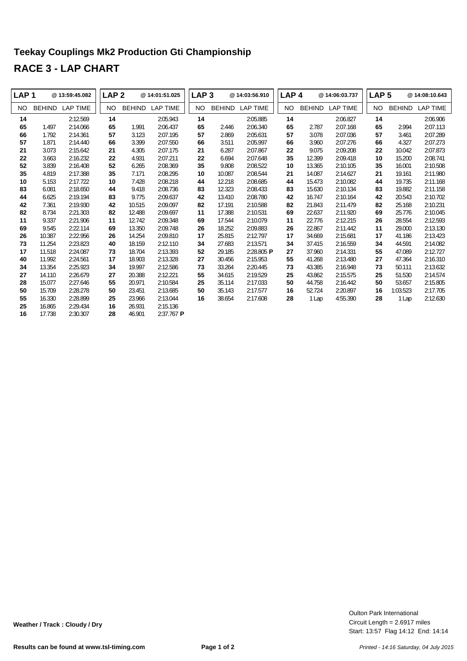# **Teekay Couplings Mk2 Production Gti Championship RACE 3 - LAP CHART**

| LAP <sub>1</sub> |               | @ 13:59:45.082  | LAP <sub>2</sub> |               | @14:01:51.025   | LAP <sub>3</sub> |               | @ 14:03:56.910  | LAP <sub>4</sub> |               | @14:06:03.737   | LAP <sub>5</sub> |               | @14:08:10.643   |
|------------------|---------------|-----------------|------------------|---------------|-----------------|------------------|---------------|-----------------|------------------|---------------|-----------------|------------------|---------------|-----------------|
| NO.              | <b>BEHIND</b> | <b>LAP TIME</b> | NO.              | <b>BEHIND</b> | <b>LAP TIME</b> | NO.              | <b>BEHIND</b> | <b>LAP TIME</b> | NO.              | <b>BEHIND</b> | <b>LAP TIME</b> | NO.              | <b>BEHIND</b> | <b>LAP TIME</b> |
| 14               |               | 2:12.569        | 14               |               | 2:05.943        | 14               |               | 2:05.885        | 14               |               | 2:06.827        | 14               |               | 2:06.906        |
| 65               | 1.497         | 2:14.066        | 65               | 1.991         | 2:06.437        | 65               | 2.446         | 2:06.340        | 65               | 2.787         | 2:07.168        | 65               | 2.994         | 2:07.113        |
| 66               | 1.792         | 2:14.361        | 57               | 3.123         | 2:07.195        | 57               | 2.869         | 2:05.631        | 57               | 3.078         | 2:07.036        | 57               | 3.461         | 2:07.289        |
| 57               | 1.871         | 2:14.440        | 66               | 3.399         | 2:07.550        | 66               | 3.511         | 2:05.997        | 66               | 3.960         | 2:07.276        | 66               | 4.327         | 2:07.273        |
| 21               | 3.073         | 2:15.642        | 21               | 4.305         | 2:07.175        | 21               | 6.287         | 2:07.867        | 22               | 9.075         | 2:09.208        | 22               | 10.042        | 2:07.873        |
| 22               | 3.663         | 2:16.232        | 22               | 4.931         | 2:07.211        | 22               | 6.694         | 2:07.648        | 35               | 12.399        | 2:09.418        | 10               | 15.200        | 2:08.741        |
| 52               | 3.839         | 2:16.408        | 52               | 6.265         | 2:08.369        | 35               | 9.808         | 2:08.522        | 10               | 13.365        | 2:10.105        | 35               | 16.001        | 2:10.508        |
| 35               | 4.819         | 2:17.388        | 35               | 7.171         | 2:08.295        | 10               | 10.087        | 2:08.544        | 21               | 14.087        | 2:14.627        | 21               | 19.161        | 2:11.980        |
| 10               | 5.153         | 2:17.722        | 10               | 7.428         | 2:08.218        | 44               | 12.218        | 2:08.685        | 44               | 15.473        | 2:10.082        | 44               | 19.735        | 2:11.168        |
| 83               | 6.081         | 2:18.650        | 44               | 9.418         | 2:08.736        | 83               | 12.323        | 2:08.433        | 83               | 15.630        | 2:10.134        | 83               | 19.882        | 2:11.158        |
| 44               | 6.625         | 2:19.194        | 83               | 9.775         | 2:09.637        | 42               | 13.410        | 2:08.780        | 42               | 16.747        | 2:10.164        | 42               | 20.543        | 2:10.702        |
| 42               | 7.361         | 2:19.930        | 42               | 10.515        | 2:09.097        | 82               | 17.191        | 2:10.588        | 82               | 21.843        | 2:11.479        | 82               | 25.168        | 2:10.231        |
| 82               | 8.734         | 2:21.303        | 82               | 12.488        | 2:09.697        | 11               | 17.388        | 2:10.531        | 69               | 22.637        | 2:11.920        | 69               | 25.776        | 2:10.045        |
| 11               | 9.337         | 2:21.906        | 11               | 12.742        | 2:09.348        | 69               | 17.544        | 2:10.079        | 11               | 22.776        | 2:12.215        | 26               | 28.554        | 2:12.593        |
| 69               | 9.545         | 2:22.114        | 69               | 13.350        | 2:09.748        | 26               | 18.252        | 2:09.883        | 26               | 22.867        | 2:11.442        | 11               | 29.000        | 2:13.130        |
| 26               | 10.387        | 2:22.956        | 26               | 14.254        | 2:09.810        | 17               | 25.815        | 2:12.797        | 17               | 34.669        | 2:15.681        | 17               | 41.186        | 2:13.423        |
| 73               | 11.254        | 2:23.823        | 40               | 18.159        | 2:12.110        | 34               | 27.683        | 2:13.571        | 34               | 37.415        | 2:16.559        | 34               | 44.591        | 2:14.082        |
| 17               | 11.518        | 2:24.087        | 73               | 18.704        | 2:13.393        | 52               | 29.185        | 2:28.805 P      | 27               | 37.960        | 2:14.331        | 55               | 47.089        | 2:12.727        |
| 40               | 11.992        | 2:24.561        | 17               | 18.903        | 2:13.328        | 27               | 30.456        | 2:15.953        | 55               | 41.268        | 2:13.480        | 27               | 47.364        | 2:16.310        |
| 34               | 13.354        | 2:25.923        | 34               | 19.997        | 2:12.586        | 73               | 33.264        | 2:20.445        | 73               | 43.385        | 2:16.948        | 73               | 50.111        | 2:13.632        |
| 27               | 14.110        | 2:26.679        | 27               | 20.388        | 2:12.221        | 55               | 34.615        | 2:19.529        | 25               | 43.862        | 2:15.575        | 25               | 51.530        | 2:14.574        |
| 28               | 15.077        | 2:27.646        | 55               | 20.971        | 2:10.584        | 25               | 35.114        | 2:17.033        | 50               | 44.758        | 2:16.442        | 50               | 53.657        | 2:15.805        |
| 50               | 15.709        | 2:28.278        | 50               | 23.451        | 2:13.685        | 50               | 35.143        | 2:17.577        | 16               | 52.724        | 2:20.897        | 16               | 1:03.523      | 2:17.705        |
| 55               | 16.330        | 2:28.899        | 25               | 23.966        | 2:13.044        | 16               | 38.654        | 2:17.608        | 28               | 1 Lap         | 4:55.390        | 28               | 1 Lap         | 2:12.630        |
| 25               | 16.865        | 2:29.434        | 16               | 26.931        | 2:15.136        |                  |               |                 |                  |               |                 |                  |               |                 |
| 16               | 17.738        | 2:30.307        | 28               | 46.901        | $2:37.767$ P    |                  |               |                 |                  |               |                 |                  |               |                 |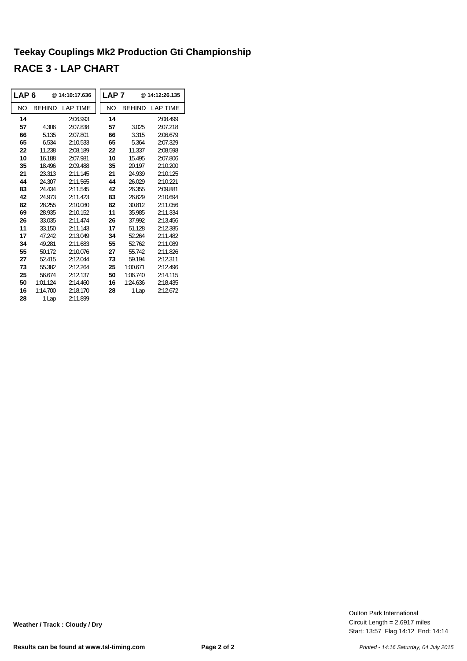# **Teekay Couplings Mk2 Production Gti Championship RACE 3 - LAP CHART**

| ∣LAP 6 |               | @14:10:17.636   | LAP <sub>7</sub> |               | @14:12:26.135   |
|--------|---------------|-----------------|------------------|---------------|-----------------|
| NO     | <b>BEHIND</b> | <b>LAP TIME</b> | NO               | <b>BEHIND</b> | <b>LAP TIME</b> |
| 14     |               | 2:06.993        | 14               |               | 2:08.499        |
| 57     | 4.306         | 2:07.838        | 57               | 3.025         | 2:07.218        |
| 66     | 5.135         | 2:07.801        | 66               | 3.315         | 2:06.679        |
| 65     | 6.534         | 2:10.533        | 65               | 5.364         | 2:07.329        |
| 22     | 11.238        | 2:08.189        | 22               | 11.337        | 2:08.598        |
| 10     | 16.188        | 2:07.981        | 10               | 15.495        | 2:07.806        |
| 35     | 18.496        | 2:09.488        | 35               | 20.197        | 2:10.200        |
| 21     | 23.313        | 2:11.145        | 21               | 24.939        | 2:10.125        |
| 44     | 24.307        | 2:11.565        | 44               | 26.029        | 2:10.221        |
| 83     | 24.434        | 2:11.545        | 42               | 26.355        | 2:09.881        |
| 42     | 24 973        | 2:11423         | 83               | 26.629        | 2:10.694        |
| 82     | 28.255        | 2:10.080        | 82               | 30.812        | 2:11.056        |
| 69     | 28.935        | 2:10.152        | 11               | 35.985        | 2:11.334        |
| 26     | 33.035        | 2:11.474        | 26               | 37.992        | 2:13.456        |
| 11     | 33.150        | 2:11.143        | 17               | 51.128        | 2:12.385        |
| 17     | 47 242        | 2:13.049        | 34               | 52.264        | 2:11.482        |
| 34     | 49.281        | 2:11.683        | 55               | 52.762        | 2:11.089        |
| 55     | 50.172        | 2:10.076        | 27               | 55742         | 2:11.826        |
| 27     | 52.415        | 2:12.044        | 73               | 59.194        | 2:12.311        |
| 73     | 55.382        | 2:12.264        | 25               | 1:00.671      | 2:12.496        |
| 25     | 56.674        | 2:12.137        | 50               | 1:06.740      | 2:14.115        |
| 50     | 1:01.124      | 2:14.460        | 16               | 1:24.636      | 2:18.435        |
| 16     | 1:14.700      | 2:18.170        | 28               | 1 Lap         | 2:12.672        |
| 28     | 1 Lap         | 2:11.899        |                  |               |                 |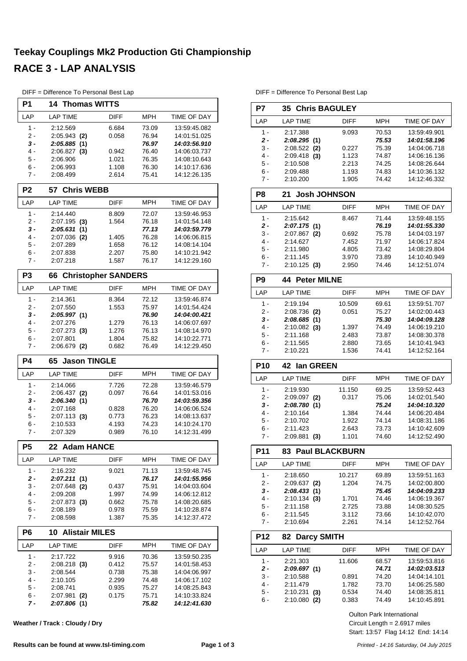# **Teekay Couplings Mk2 Production Gti Championship RACE 3 - LAP ANALYSIS**

| DIFF = Difference To Personal Best Lap |  |  |  |  |  |  |
|----------------------------------------|--|--|--|--|--|--|
|----------------------------------------|--|--|--|--|--|--|

| P <sub>1</sub> | <b>14 Thomas WITTS</b>      |                            |                |                              |
|----------------|-----------------------------|----------------------------|----------------|------------------------------|
| LAP            | <b>LAP TIME</b>             | DIFF                       | <b>MPH</b>     | TIME OF DAY                  |
| 1 -            | 2:12.569                    | 6.684                      | 73.09          | 13:59:45.082                 |
| $2 -$          | 2:05.943<br>(2)             | 0.058                      | 76.94          | 14:01:51.025                 |
| 3 -            | 2:05.885<br>(1)             |                            | 76.97          | 14:03:56.910                 |
| 4 -            | $2:06.827$ (3)              | 0.942                      | 76.40          | 14:06:03.737                 |
| 5 -            | 2:06.906                    | 1.021                      | 76.35          | 14:08:10.643                 |
| 6 -<br>$7 -$   | 2:06.993<br>2:08.499        | 1.108<br>2.614             | 76.30<br>75.41 | 14:10:17.636<br>14:12:26.135 |
|                |                             |                            |                |                              |
| P <sub>2</sub> | <b>Chris WEBB</b><br>57     |                            |                |                              |
| LAP            | <b>LAP TIME</b>             | <b>DIFF</b>                | <b>MPH</b>     | TIME OF DAY                  |
| $1 -$          | 2:14.440                    | 8.809                      | 72.07          | 13:59:46.953                 |
| 2 -<br>3 -     | $2:07.195$ (3)<br>(1)       | 1.564                      | 76.18<br>77.13 | 14:01:54.148<br>14:03:59.779 |
| 4 -            | 2:05.631<br>2:07.036<br>(2) | 1.405                      | 76.28          | 14:06:06.815                 |
| 5 -            | 2:07.289                    | 1.658                      | 76.12          | 14:08:14.104                 |
| 6 -            | 2:07.838                    | 2.207                      | 75.80          | 14:10:21.942                 |
| 7 -            | 2:07.218                    | 1.587                      | 76.17          | 14:12:29.160                 |
| P <sub>3</sub> | 66                          | <b>Christopher SANDERS</b> |                |                              |
| LAP            | <b>LAP TIME</b>             | <b>DIFF</b>                | <b>MPH</b>     | TIME OF DAY                  |
| $1 -$          | 2:14.361                    | 8.364                      | 72.12          | 13:59:46.874                 |
| 2 -            | 2:07.550                    | 1.553                      | 75.97          | 14:01:54.424                 |
| 3 -<br>4 -     | 2:05.997 (1)<br>2:07.276    |                            | 76.90          | 14:04:00.421                 |
| 5 -            | $2:07.273$ (3)              | 1.279<br>1.276             | 76.13<br>76.13 | 14:06:07.697<br>14:08:14.970 |
| 6 -            | 2:07.801                    | 1.804                      | 75.82          | 14:10:22.771                 |
| 7 -            | $2:06.679$ (2)              | 0.682                      | 76.49          | 14:12:29.450                 |
|                |                             |                            |                |                              |
| <b>P4</b>      | <b>Jason TINGLE</b><br>65   |                            |                |                              |
| LAP            | <b>LAP TIME</b>             | DIFF                       | <b>MPH</b>     | TIME OF DAY                  |
| $1 -$          | 2:14.066                    | 7.726                      | 72.28          | 13:59:46.579                 |
| 2 -            | $2:06.437$ (2)              | 0.097                      | 76.64          | 14:01:53.016                 |
| 3 -            | 2:06.340(1)                 |                            | 76.70          | 14:03:59.356                 |
| 4 -            | 2:07.168                    | 0.828                      | 76.20          | 14:06:06.524                 |
| 5 -            | $2:07.113$ (3)              | 0.773                      | 76.23          | 14:08:13.637                 |
| 6 -            | 2:10.533                    | 4.193                      | 74.23          | 14:10:24.170                 |
| 7 -            | 2:07.329                    | 0.989                      | 76.10          | 14:12:31.499                 |
| P <sub>5</sub> | 22 Adam HANCE               |                            |                |                              |
| LAP            | <b>LAP TIME</b>             | DIFF                       | MPH            | TIME OF DAY                  |
| $1 -$          | 2:16.232                    | 9.021                      | 71.13          | 13:59:48.745                 |
| $2 -$          | 2:07.211(1)                 |                            | 76.17          | 14:01:55.956                 |
| $3 -$          | $2:07.648$ (2)              | 0.437                      | 75.91          | 14:04:03.604                 |
| 4 -<br>5 -     | 2:09.208                    | 1.997<br>0.662             | 74.99<br>75.78 | 14:06:12.812<br>14:08:20.685 |
| 6 -            | $2:07.873$ (3)<br>2:08.189  | 0.978                      | 75.59          | 14:10:28.874                 |
| 7 -            | 2:08.598                    | 1.387                      | 75.35          | 14:12:37.472                 |
| P <sub>6</sub> | <b>Alistair MILES</b><br>10 |                            |                |                              |
| LAP            | <b>LAP TIME</b>             | DIFF                       | MPH            | TIME OF DAY                  |
| $1 -$          | 2:17.722                    | 9.916                      | 70.36          | 13:59:50.235                 |
| 2 -            | 2:08.218 (3)                | 0.412                      | 75.57          | 14:01:58.453                 |
| 3 -            | 2:08.544                    | 0.738                      | 75.38          | 14:04:06.997                 |
| 4 -            | 2:10.105                    | 2.299                      | 74.48          | 14:06:17.102                 |
| $5 -$<br>6 -   | 2:08.741<br>2:07.981<br>(2) | 0.935<br>0.175             | 75.27<br>75.71 | 14:08:25.843<br>14:10:33.824 |

**Weather / Track : Cloudy / Dry**

DIFF = Difference To Personal Best Lap

|                                         | <b>35 Chris BAGULEY</b>     |                       |                |                                    |  |  |  |
|-----------------------------------------|-----------------------------|-----------------------|----------------|------------------------------------|--|--|--|
| LAP                                     | <b>LAP TIME</b>             | <b>DIFF</b>           | <b>MPH</b>     | TIME OF DAY                        |  |  |  |
| 1 -                                     | 2:17.388                    | 9.093                 | 70.53          | 13:59:49.901                       |  |  |  |
| 2 -                                     | 2:08.295(1)                 |                       | 75.53          | 14:01:58.196                       |  |  |  |
| 3 -                                     | 2:08.522<br>(2)             | 0.227                 | 75.39          | 14:04:06.718                       |  |  |  |
| 4 -                                     | 2:09.418<br>(3)             | 1.123                 | 74.87          | 14:06:16.136                       |  |  |  |
| 5 -<br>6 -                              | 2:10.508<br>2:09.488        | 2.213<br>1.193        | 74.25<br>74.83 | 14:08:26.644<br>14:10:36.132       |  |  |  |
| 7 -                                     | 2:10.200                    | 1.905                 | 74.42          | 14:12:46.332                       |  |  |  |
| P8                                      | <b>Josh JOHNSON</b><br>21   |                       |                |                                    |  |  |  |
|                                         | <b>LAP TIME</b>             |                       | <b>MPH</b>     |                                    |  |  |  |
| LAP                                     |                             | <b>DIFF</b>           |                | <b>TIME OF DAY</b>                 |  |  |  |
| $1 -$                                   | 2:15.642                    | 8.467                 | 71.44          | 13:59:48.155                       |  |  |  |
| 2 -                                     | 2:07.175(1)                 |                       | 76.19          | 14:01:55.330                       |  |  |  |
| 3 -<br>4 -                              | 2:07.867 (2)                | 0.692                 | 75.78<br>71.97 | 14:04:03.197                       |  |  |  |
| 5 -                                     | 2:14.627<br>2:11.980        | 7.452<br>4.805        | 73.42          | 14:06:17.824<br>14:08:29.804       |  |  |  |
| 6 -                                     | 2:11.145                    | 3.970                 | 73.89          | 14:10:40.949                       |  |  |  |
| 7 -                                     | $2:10.125$ (3)              | 2.950                 | 74.46          | 14:12:51.074                       |  |  |  |
| P <sub>9</sub><br><b>44 Peter MILNE</b> |                             |                       |                |                                    |  |  |  |
| LAP                                     | <b>LAP TIME</b>             | <b>DIFF</b>           | <b>MPH</b>     | TIME OF DAY                        |  |  |  |
| $1 -$                                   | 2:19.194                    | 10.509                |                | 13:59:51.707                       |  |  |  |
| 2 -                                     | 2:08.736 (2)                | 0.051                 | 69.61<br>75.27 | 14:02:00.443                       |  |  |  |
| 3 -                                     | 2:08.685(1)                 |                       | 75.30          | 14:04:09.128                       |  |  |  |
| 4 -                                     | 2:10.082<br>(3)             | 1.397                 | 74.49          | 14:06:19.210                       |  |  |  |
| 5 -                                     | 2:11.168                    | 2.483                 | 73.87          | 14:08:30.378                       |  |  |  |
| 6 -                                     | 2:11.565                    | 2.880                 | 73.65          | 14:10:41.943                       |  |  |  |
| $7 -$                                   | 2:10.221                    | 1.536                 | 74.41          | 14:12:52.164                       |  |  |  |
| <b>P10</b>                              | 42<br>lan GREEN             |                       |                |                                    |  |  |  |
| LAP                                     | <b>LAP TIME</b>             | <b>DIFF</b>           | <b>MPH</b>     | TIME OF DAY                        |  |  |  |
| $1 -$                                   | 2:19.930                    | 11.150                | 69.25          | 13:59:52.443                       |  |  |  |
| 2 -                                     | 2:09.097<br>(2)             | 0.317                 | 75.06          | 14:02:01.540                       |  |  |  |
|                                         |                             |                       |                |                                    |  |  |  |
| 3 -                                     | 2:08.780(1)                 |                       | 75.24          |                                    |  |  |  |
| 4 -                                     | 2:10.164                    | 1.384                 | 74.44          | 14:06:20.484                       |  |  |  |
| 5 -                                     | 2:10.702                    | 1.922                 | 74.14          | 14:08:31.186                       |  |  |  |
| 6 -                                     | 2:11.423                    | 2.643                 | 73.73          | 14:10:42.609                       |  |  |  |
| 7 -                                     | 2:09.881<br>(3)             | 1.101                 | 74.60          | 14:12:52.490                       |  |  |  |
| P11                                     | 83                          | <b>Paul BLACKBURN</b> |                |                                    |  |  |  |
| LAP                                     | LAP TIME                    | <b>DIFF</b>           | MPH            | 14:04:10.320<br><b>TIME OF DAY</b> |  |  |  |
| 1 -                                     | 2:18.650                    | 10.217                | 69.89          | 13:59:51.163                       |  |  |  |
| 2 -                                     | 2:09.637 (2)                | 1.204                 | 74.75          | 14:02:00.800                       |  |  |  |
| 3 -<br>4 -                              | 2:08.433(1)                 | 1.701                 | 75.45<br>74.46 | 14:04:09.233<br>14:06:19.367       |  |  |  |
| $5 -$                                   | 2:10.134 (3)<br>2:11.158    | 2.725                 | 73.88          | 14:08:30.525                       |  |  |  |
| 6 -                                     | 2:11.545                    | 3.112                 | 73.66          | 14:10:42.070                       |  |  |  |
| 7 -                                     | 2:10.694                    | 2.261                 | 74.14          | 14:12:52.764                       |  |  |  |
| P12                                     | 82 Darcy SMITH              |                       |                |                                    |  |  |  |
| LAP                                     | <b>LAP TIME</b>             | DIFF                  | <b>MPH</b>     | TIME OF DAY                        |  |  |  |
| 1 -                                     | 2:21.303                    | 11.606                | 68.57          | 13:59:53.816                       |  |  |  |
| 2 -                                     | 2:09.697(1)                 |                       | 74.71          | 14:02:03.513                       |  |  |  |
| 3 -                                     | 2:10.588                    | 0.891                 | 74.20          | 14:04:14.101                       |  |  |  |
| 4 -<br>5 -                              | 2:11.479<br>2:10.231<br>(3) | 1.782<br>0.534        | 73.70<br>74.40 | 14:06:25.580<br>14:08:35.811       |  |  |  |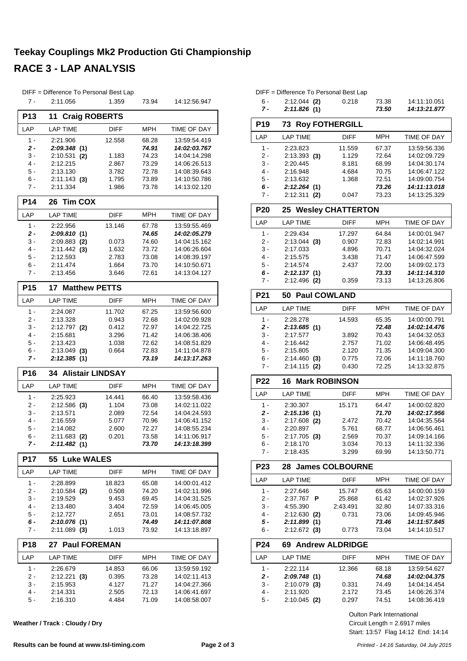#### **Teekay Couplings Mk2 Production Gti Championship RACE 3 - LAP ANALYSIS**

|                 | DIFF = Difference To Personal Best Lap  |                |                |                              |
|-----------------|-----------------------------------------|----------------|----------------|------------------------------|
| $7 -$           | 2:11.056                                | 1.359          | 73.94          | 14:12:56.947                 |
| <b>P13</b>      | 11<br><b>Craig ROBERTS</b>              |                |                |                              |
| LAP             | <b>LAP TIME</b>                         | <b>DIFF</b>    | <b>MPH</b>     | TIME OF DAY                  |
| $1 -$           | 2:21.906                                | 12.558         | 68.28          | 13:59:54.419                 |
| 2 -             | 2:09.348(1)                             |                | 74.91          | 14:02:03.767                 |
| 3 -             | $2:10.531$ (2)                          | 1.183          | 74.23          | 14:04:14.298                 |
| 4 -             | 2:12.215                                | 2.867          | 73.29          | 14:06:26.513                 |
| 5 -             | 2:13.130                                | 3.782          | 72.78          | 14:08:39.643                 |
| $6 -$           | $2:11.143$ (3)                          | 1.795          | 73.89          | 14:10:50.786                 |
| 7 -             | 2:11.334                                | 1.986          | 73.78          | 14:13:02.120                 |
| P <sub>14</sub> | <b>Tim COX</b><br>26                    |                |                |                              |
| LAP             | <b>LAP TIME</b>                         | DIFF           | <b>MPH</b>     | TIME OF DAY                  |
| 1 -             | 2:22.956                                | 13.146         | 67.78          | 13:59:55.469                 |
| 2 -             | 2:09.810(1)                             |                | 74.65          | 14:02:05.279                 |
| 3 -             | $2:09.883$ (2)                          | 0.073          | 74.60          | 14:04:15.162                 |
| 4 -             | $2:11.442$ (3)                          | 1.632          | 73.72          | 14:06:26.604                 |
| $5 -$           | 2:12.593                                | 2.783          | 73.08          | 14:08:39.197                 |
| 6 -<br>7 -      | 2:11.474<br>2:13.456                    | 1.664<br>3.646 | 73.70<br>72.61 | 14:10:50.671<br>14:13:04.127 |
|                 |                                         |                |                |                              |
| P <sub>15</sub> | 17 <sup>7</sup><br><b>Matthew PETTS</b> |                |                |                              |
| LAP             | <b>LAP TIME</b>                         | DIFF           | <b>MPH</b>     | TIME OF DAY                  |
| $1 -$           | 2:24.087                                | 11.702         | 67.25          | 13:59:56.600                 |
| 2 -             | 2:13.328                                | 0.943          | 72.68          | 14:02:09.928                 |
| 3 -             | $2:12.797$ (2)                          | 0.412          | 72.97          | 14:04:22.725                 |
| 4 -             | 2:15.681                                | 3.296          | 71.42          | 14:06:38.406                 |
| 5 -<br>6 -      | 2:13.423<br>$2:13.049$ (3)              | 1.038<br>0.664 | 72.62<br>72.83 | 14:08:51.829<br>14:11:04.878 |
| 7 -             | 2:12.385(1)                             |                | 73.19          | 14:13:17.263                 |
| P <sub>16</sub> | <b>34 Alistair LINDSAY</b>              |                |                |                              |
| LAP             | <b>LAP TIME</b>                         | DIFF           | MPH            | TIME OF DAY                  |
|                 |                                         |                |                |                              |
| $1 -$           | 2:25.923                                | 14.441         | 66.40          | 13:59:58.436                 |
| 2 -<br>3 -      | $2:12.586$ (3)<br>2:13.571              | 1.104<br>2.089 | 73.08<br>72.54 | 14:02:11.022<br>14:04:24.593 |
| $4 -$           | 2:16.559                                | 5.077          | 70.96          | 14:06:41.152                 |
| 5 -             | 2:14.082                                | 2.600          | 72.27          | 14:08:55.234                 |
| 6 -             | $2:11.683$ (2)                          | 0.201          | 73.58          | 14:11:06.917                 |
| 7 -             | 2:11.482(1)                             |                | 73.70          | 14:13:18.399                 |
| <b>P17</b>      | 55 Luke WALES                           |                |                |                              |
| LAP             | <b>LAP TIME</b>                         | <b>DIFF</b>    | MPH            | TIME OF DAY                  |
| 1 -             | 2:28.899                                | 18.823         | 65.08          | 14:00:01.412                 |
| $2 -$           | 2:10.584 (2)                            | 0.508          | 74.20          | 14:02:11.996                 |
| 3 -             | 2:19.529                                | 9.453          | 69.45          | 14:04:31.525                 |
| 4 -             | 2:13.480                                | 3.404          | 72.59          | 14:06:45.005                 |
| 5 -             | 2:12.727                                | 2.651          | 73.01          | 14:08:57.732                 |
| 6 -<br>7 -      | 2:10.076(1)<br>$2:11.089$ (3)           | 1.013          | 74.49<br>73.92 | 14:11:07.808<br>14:13:18.897 |
|                 |                                         |                |                |                              |
| P18             | <b>Paul FOREMAN</b><br>27               |                |                |                              |
| LAP             | <b>LAP TIME</b>                         | DIFF           | MPH            | TIME OF DAY                  |
| 1 -             | 2:26.679                                | 14.853         | 66.06          | 13:59:59.192                 |
| 2 -             | $2:12.221$ (3)                          | 0.395          | 73.28          | 14:02:11.413                 |
| 3 -<br>4 -      | 2:15.953                                | 4.127          | 71.27          | 14:04:27.366                 |
| 5 -             | 2:14.331<br>2:16.310                    | 2.505<br>4.484 | 72.13<br>71.09 | 14:06:41.697<br>14:08:58.007 |
|                 |                                         |                |                |                              |

**Weather / Track : Cloudy / Dry**

|                 | DIFF = Difference To Personal Best Lap |             |            |                    |
|-----------------|----------------------------------------|-------------|------------|--------------------|
| $6 -$           | $2:12.044$ (2)                         | 0.218       | 73.38      | 14:11:10.051       |
| 7 -             | 2:11.826(1)                            |             | 73.50      | 14:13:21.877       |
| P <sub>19</sub> | 73<br><b>Roy FOTHERGILL</b>            |             |            |                    |
| LAP             | <b>LAP TIME</b>                        | <b>DIFF</b> | <b>MPH</b> | TIME OF DAY        |
| $1 -$           | 2:23.823                               | 11.559      | 67.37      | 13:59:56.336       |
| 2 -             | $2:13.393$ (3)                         | 1.129       | 72.64      | 14:02:09.729       |
| 3 -             | 2:20.445                               | 8.181       | 68.99      | 14:04:30.174       |
| 4 -             | 2:16.948                               | 4.684       | 70.75      | 14:06:47.122       |
| 5 -             | 2:13.632                               | 1.368       | 72.51      | 14:09:00.754       |
| 6 -             | 2:12.264(1)                            |             | 73.26      | 14:11:13.018       |
| $7 -$           | $2:12.311$ (2)                         | 0.047       | 73.23      | 14:13:25.329       |
| <b>P20</b>      | 25 Wesley CHATTERTON                   |             |            |                    |
| LAP             | <b>LAP TIME</b>                        | <b>DIFF</b> | <b>MPH</b> | TIME OF DAY        |
| $1 -$           | 2:29.434                               | 17.297      | 64.84      | 14:00:01.947       |
| 2 -             | $2:13.044$ (3)                         | 0.907       | 72.83      | 14:02:14.991       |
| $3 -$           | 2:17.033                               | 4.896       | 70.71      | 14:04:32.024       |
| $4 -$           | 2:15.575                               | 3.438       | 71.47      | 14:06:47.599       |
| $5 -$           | 2:14.574                               | 2.437       | 72.00      | 14:09:02.173       |
| $6 -$           | 2:12.137(1)                            |             | 73.33      | 14:11:14.310       |
| 7 -             | $2:12.496$ (2)                         | 0.359       | 73.13      | 14:13:26.806       |
| P <sub>21</sub> | <b>Paul COWLAND</b><br>50              |             |            |                    |
| LAP             | <b>LAP TIME</b>                        | <b>DIFF</b> | <b>MPH</b> | <b>TIME OF DAY</b> |
| $1 -$           | 2:28.278                               | 14.593      | 65.35      | 14:00:00.791       |
| $2 -$           | 2:13.685 (1)                           |             | 72.48      | 14:02:14.476       |
| 3 -             | 2:17.577                               | 3.892       | 70.43      | 14:04:32.053       |
| 4 -             | 2:16.442                               | 2.757       | 71.02      | 14:06:48.495       |
| 5 -             | 2:15.805                               | 2.120       | 71.35      | 14:09:04.300       |
| 6 -             | $2:14.460$ (3)                         | 0.775       | 72.06      | 14:11:18.760       |
| $7 -$           | 2:14.115 (2)                           | 0.430       | 72.25      | 14:13:32.875       |
| P22             | <b>Mark ROBINSON</b><br>16             |             |            |                    |
| LAP             | <b>LAP TIME</b>                        | <b>DIFF</b> | <b>MPH</b> | TIME OF DAY        |
| $1 -$           | 2:30.307                               | 15.171      | 64.47      | 14:00:02.820       |
| $2 -$           | 2:15.136(1)                            |             | 71.70      | 14:02:17.956       |
| 3 -             | 2:17.608<br>(2)                        | 2.472       | 70.42      | 14:04:35.564       |
| $4 -$           | 2:20.897                               | 5.761       | 68.77      | 14:06:56.461       |
| $5 -$           | 2:17.705<br>(3)                        | 2.569       | 70.37      | 14:09:14.166       |
| 6 -             | 2:18.170                               | 3.034       | 70.13      | 14:11:32.336       |
| 7 -             | 2:18.435                               | 3.299       | 69.99      | 14:13:50.771       |

| <b>P23</b> | 28 James COLBOURNE |             |            |                    |
|------------|--------------------|-------------|------------|--------------------|
| I AP       | <b>LAP TIME</b>    | <b>DIFF</b> | <b>MPH</b> | <b>TIME OF DAY</b> |
| 1 -        | 2:27.646           | 15.747      | 65.63      | 14:00:00.159       |
| $2 -$      | 2:37.767<br>Р      | 25.868      | 61.42      | 14:02:37.926       |
| $3 -$      | 4:55.390           | 2:43.491    | 32.80      | 14:07:33.316       |
| $4 -$      | $2:12.630$ (2)     | 0.731       | 73.06      | 14:09:45.946       |
| 5 -        | 2:11.899<br>(1)    |             | 73.46      | 14:11:57.845       |
| ჩ -        | $2:12.672$ (3)     | 0.773       | 73.04      | 14:14:10.517       |

| <b>P24</b> | 69 Andrew ALDRIDGE |             |            |                    |
|------------|--------------------|-------------|------------|--------------------|
| I AP       | <b>LAP TIME</b>    | <b>DIFF</b> | <b>MPH</b> | <b>TIME OF DAY</b> |
| 1 -        | 2:22.114           | 12.366      | 68.18      | 13:59:54.627       |
| $2 -$      | 2:09.748(1)        |             | 74.68      | 14:02:04.375       |
| 3 -        | $2:10.079$ (3)     | 0.331       | 74.49      | 14:04:14.454       |
| 4 -        | 2:11.920           | 2.172       | 73.45      | 14:06:26.374       |
| $5 -$      | $2:10.045$ (2)     | 0.297       | 74.51      | 14:08:36.419       |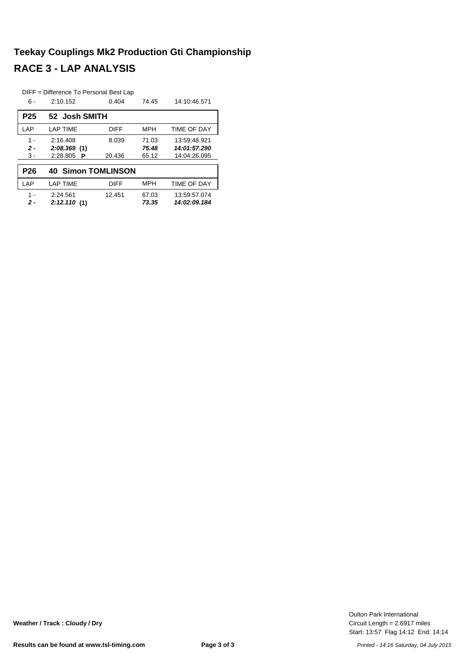# **Teekay Couplings Mk2 Production Gti Championship RACE 3 - LAP ANALYSIS**

|                 | DIFF = Difference To Personal Best Lap |             |            |              |
|-----------------|----------------------------------------|-------------|------------|--------------|
| 6 -             | 2:10.152                               | 0.404       | 74.45      | 14:10:46.571 |
| P <sub>25</sub> | 52 Josh SMITH                          |             |            |              |
| LAP             | <b>LAP TIME</b>                        | <b>DIFF</b> | <b>MPH</b> | TIME OF DAY  |
| $1 -$           | 2:16.408                               | 8.039       | 71.03      | 13:59:48.921 |
| $2 -$           | 2:08.369(1)                            |             | 75.48      | 14:01:57.290 |
| $3 -$           | 2:28.805<br>P                          | 20.436      | 65.12      | 14:04:26.095 |
| P <sub>26</sub> | <b>40 Simon TOMLINSON</b>              |             |            |              |
| LAP             | <b>LAP TIME</b>                        | <b>DIFF</b> | <b>MPH</b> | TIME OF DAY  |
| 1 -             | 2:24.561                               | 12.451      | 67.03      | 13.59.57.074 |
| 2 -             | 2:12.110(1)                            |             | 73.35      | 14:02:09.184 |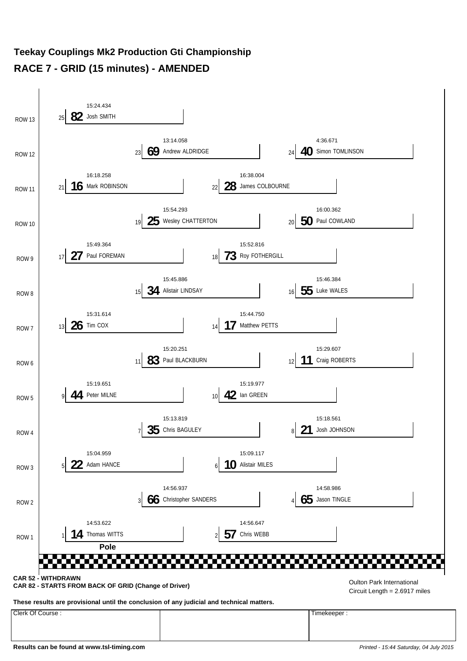#### **Teekay Couplings Mk2 Production Gti Championship RACE 7 - GRID (15 minutes) - AMENDED**

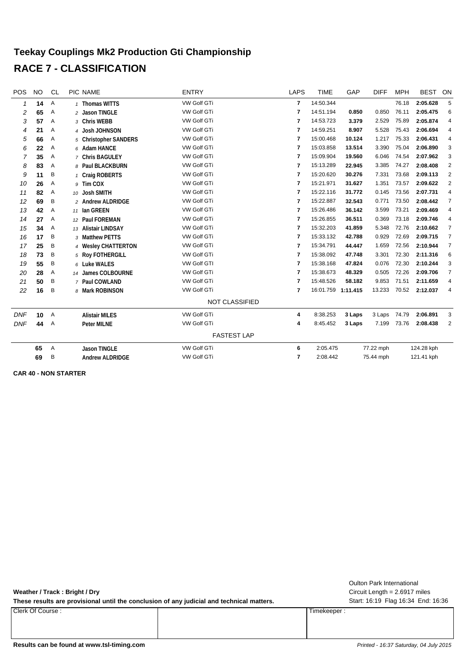#### **Teekay Couplings Mk2 Production Gti Championship RACE 7 - CLASSIFICATION**

| POS          | <b>NO</b> | CL           | PIC NAME               | <b>ENTRY</b>          | <b>LAPS</b>             | <b>TIME</b>        | GAP    | <b>DIFF</b> | <b>MPH</b> | <b>BEST</b> | ON             |
|--------------|-----------|--------------|------------------------|-----------------------|-------------------------|--------------------|--------|-------------|------------|-------------|----------------|
| $\mathbf{1}$ | 14        | Α            | 1 Thomas WITTS         | <b>VW Golf GTi</b>    | 7                       | 14:50.344          |        |             | 76.18      | 2:05.628    | 5              |
| 2            | 65        | Α            | 2 Jason TINGLE         | VW Golf GTi           | $\overline{7}$          | 14:51.194          | 0.850  | 0.850       | 76.11      | 2:05.475    | 6              |
| 3            | 57        | Α            | 3 Chris WEBB           | VW Golf GTi           | 7                       | 14:53.723          | 3.379  | 2.529       | 75.89      | 2:05.874    | 4              |
| 4            | 21        | Α            | 4 Josh JOHNSON         | <b>VW Golf GTi</b>    | 7                       | 14:59.251          | 8.907  | 5.528       | 75.43      | 2:06.694    | 4              |
| 5            | 66        | Α            | 5 Christopher SANDERS  | VW Golf GTi           | 7                       | 15:00.468          | 10.124 | 1.217       | 75.33      | 2:06.431    | 4              |
| 6            | 22        | Α            | 6 Adam HANCE           | VW Golf GTi           | 7                       | 15:03.858          | 13.514 | 3.390       | 75.04      | 2:06.890    | 3              |
| 7            | 35        | Α            | 7 Chris BAGULEY        | VW Golf GTi           | 7                       | 15:09.904          | 19.560 | 6.046       | 74.54      | 2:07.962    | 3              |
| 8            | 83        | Α            | 8 Paul BLACKBURN       | VW Golf GTi           | 7                       | 15:13.289          | 22.945 | 3.385       | 74.27      | 2:08.408    | $\overline{2}$ |
| 9            | 11        | B            | 1 Craig ROBERTS        | <b>VW Golf GTi</b>    | $\overline{7}$          | 15:20.620          | 30.276 | 7.331       | 73.68      | 2:09.113    | $\overline{2}$ |
| 10           | 26        | Α            | 9 Tim COX              | VW Golf GTi           | 7                       | 15:21.971          | 31.627 | 1.351       | 73.57      | 2:09.622    | 2              |
| 11           | 82        | Α            | 10 Josh SMITH          | VW Golf GTi           | $\overline{7}$          | 15:22.116          | 31.772 | 0.145       | 73.56      | 2:07.731    | 4              |
| 12           | 69        | Β            | 2 Andrew ALDRIDGE      | VW Golf GTi           | 7                       | 15:22.887          | 32.543 | 0.771       | 73.50      | 2:08.442    | 7              |
| 13           | 42        | Α            | 11 Ian GREEN           | VW Golf GTi           | $\overline{7}$          | 15:26.486          | 36.142 | 3.599       | 73.21      | 2:09.469    | 4              |
| 14           | 27        | Α            | 12 Paul FOREMAN        | VW Golf GTi           | $\overline{7}$          | 15:26.855          | 36.511 | 0.369       | 73.18      | 2:09.746    | 4              |
| 15           | 34        | Α            | 13 Alistair LINDSAY    | <b>VW Golf GTi</b>    | 7                       | 15:32.203          | 41.859 | 5.348       | 72.76      | 2:10.662    | $\overline{7}$ |
| 16           | 17        | Β            | 3 Matthew PETTS        | VW Golf GTi           | 7                       | 15:33.132          | 42.788 | 0.929       | 72.69      | 2:09.715    | $\overline{7}$ |
| 17           | 25        | B            | 4 Wesley CHATTERTON    | VW Golf GTi           | 7                       | 15:34.791          | 44.447 | 1.659       | 72.56      | 2:10.944    | $\overline{7}$ |
| 18           | 73        | Β            | 5 Roy FOTHERGILL       | VW Golf GTi           | $\overline{7}$          | 15:38.092          | 47.748 | 3.301       | 72.30      | 2:11.316    | 6              |
| 19           | 55        | Β            | 6 Luke WALES           | VW Golf GTI           | 7                       | 15:38.168          | 47.824 | 0.076       | 72.30      | 2:10.244    | 3              |
| 20           | 28        | Α            | 14 James COLBOURNE     | VW Golf GTi           | 7                       | 15:38.673          | 48.329 | 0.505       | 72.26      | 2:09.706    | 7              |
| 21           | 50        | B            | 7 Paul COWLAND         | <b>VW Golf GTi</b>    | $\overline{\mathbf{r}}$ | 15:48.526          | 58.182 | 9.853       | 71.51      | 2:11.659    | 4              |
| 22           | 16        | B            | 8 Mark ROBINSON        | VW Golf GTi           | $\overline{7}$          | 16:01.759 1:11.415 |        | 13.233      | 70.52      | 2:12.037    | 4              |
|              |           |              |                        | <b>NOT CLASSIFIED</b> |                         |                    |        |             |            |             |                |
| <b>DNF</b>   | 10        | $\mathsf{A}$ | <b>Alistair MILES</b>  | <b>VW Golf GTi</b>    | 4                       | 8:38.253           | 3 Laps | 3 Laps      | 74.79      | 2:06.891    | 3              |
| <b>DNF</b>   | 44        | Α            | <b>Peter MILNE</b>     | VW Golf GTi           | 4                       | 8:45.452           | 3 Laps | 7.199       | 73.76      | 2:08.438    | $\overline{2}$ |
|              |           |              |                        | <b>FASTEST LAP</b>    |                         |                    |        |             |            |             |                |
|              | 65        | Α            | <b>Jason TINGLE</b>    | VW Golf GTi           | 6                       | 2:05.475           |        | 77.22 mph   |            | 124.28 kph  |                |
|              | 69        | B            | <b>Andrew ALDRIDGE</b> | <b>VW Golf GTi</b>    | 7                       | 2:08.442           |        | 75.44 mph   |            | 121.41 kph  |                |

**CAR 40 - NON STARTER**

**Weather / Track : Bright / Dry**

These results are provisional until the conclusion of any judicial and technical matters. Start: 16:19 Flag 16:34 End: 16:36

Clerk Of Course : Timekeeper :

Circuit Length = 2.6917 miles Oulton Park International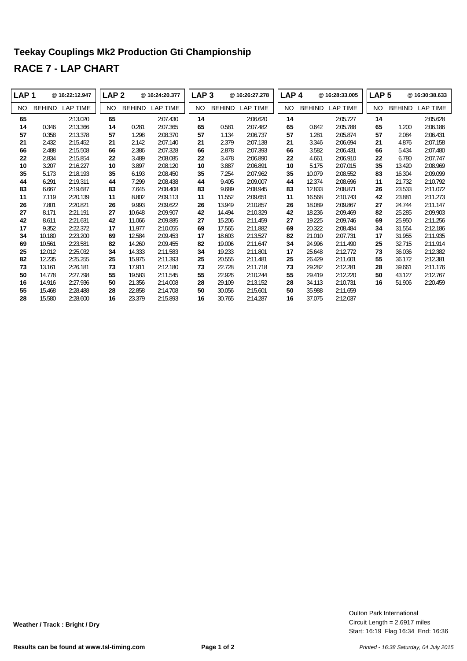# **Teekay Couplings Mk2 Production Gti Championship RACE 7 - LAP CHART**

| LAP <sub>1</sub> |               | @16:22:12.947 | LAP 2 |               | @16:24:20.377 | LAP <sub>3</sub> |               | @16:26:27.278 | LAP <sub>4</sub> |               | @16:28:33.005   | LAP <sub>5</sub> |               | @16:30:38.633   |
|------------------|---------------|---------------|-------|---------------|---------------|------------------|---------------|---------------|------------------|---------------|-----------------|------------------|---------------|-----------------|
| NO.              | <b>BEHIND</b> | LAP TIME      | NO    | <b>BEHIND</b> | LAP TIME      | NO.              | <b>BEHIND</b> | LAP TIME      | <b>NO</b>        | <b>BEHIND</b> | <b>LAP TIME</b> | <b>NO</b>        | <b>BEHIND</b> | <b>LAP TIME</b> |
| 65               |               | 2:13.020      | 65    |               | 2:07.430      | 14               |               | 2:06.620      | 14               |               | 2:05.727        | 14               |               | 2:05.628        |
| 14               | 0.346         | 2:13.366      | 14    | 0.281         | 2:07.365      | 65               | 0.581         | 2:07.482      | 65               | 0.642         | 2:05.788        | 65               | 1.200         | 2:06.186        |
| 57               | 0.358         | 2:13.378      | 57    | 1.298         | 2:08.370      | 57               | 1.134         | 2:06.737      | 57               | 1.281         | 2:05.874        | 57               | 2.084         | 2:06.431        |
| 21               | 2.432         | 2:15.452      | 21    | 2.142         | 2:07.140      | 21               | 2.379         | 2:07.138      | 21               | 3.346         | 2:06.694        | 21               | 4.876         | 2:07.158        |
| 66               | 2.488         | 2:15.508      | 66    | 2.386         | 2:07.328      | 66               | 2.878         | 2:07.393      | 66               | 3.582         | 2:06.431        | 66               | 5.434         | 2:07.480        |
| 22               | 2.834         | 2:15.854      | 22    | 3.489         | 2:08.085      | 22               | 3.478         | 2:06.890      | 22               | 4.661         | 2:06.910        | 22               | 6.780         | 2:07.747        |
| 10               | 3.207         | 2:16.227      | 10    | 3.897         | 2:08.120      | 10               | 3.887         | 2:06.891      | 10               | 5.175         | 2:07.015        | 35               | 13.420        | 2:08.969        |
| 35               | 5.173         | 2:18.193      | 35    | 6.193         | 2:08.450      | 35               | 7.254         | 2:07.962      | 35               | 10.079        | 2:08.552        | 83               | 16.304        | 2:09.099        |
| 44               | 6.291         | 2:19.311      | 44    | 7.299         | 2:08.438      | 44               | 9.405         | 2:09.007      | 44               | 12.374        | 2:08.696        | 11               | 21.732        | 2:10.792        |
| 83               | 6.667         | 2:19.687      | 83    | 7.645         | 2:08.408      | 83               | 9.689         | 2:08.945      | 83               | 12.833        | 2:08.871        | 26               | 23.533        | 2:11.072        |
| 11               | 7.119         | 2:20.139      | 11    | 8.802         | 2:09.113      | 11               | 11.552        | 2:09.651      | 11               | 16.568        | 2:10.743        | 42               | 23.881        | 2:11.273        |
| 26               | 7.801         | 2:20.821      | 26    | 9.993         | 2:09.622      | 26               | 13.949        | 2:10.857      | 26               | 18.089        | 2:09.867        | 27               | 24.744        | 2:11.147        |
| 27               | 8.171         | 2:21.191      | 27    | 10.648        | 2:09.907      | 42               | 14.494        | 2:10.329      | 42               | 18.236        | 2:09.469        | 82               | 25.285        | 2:09.903        |
| 42               | 8.611         | 2:21.631      | 42    | 11.066        | 2:09.885      | 27               | 15.206        | 2:11.459      | 27               | 19.225        | 2:09.746        | 69               | 25.950        | 2:11.256        |
| 17               | 9.352         | 2:22.372      | 17    | 11.977        | 2:10.055      | 69               | 17.565        | 2:11.882      | 69               | 20.322        | 2:08.484        | 34               | 31.554        | 2:12.186        |
| 34               | 10.180        | 2:23.200      | 69    | 12.584        | 2:09.453      | 17               | 18.603        | 2:13.527      | 82               | 21.010        | 2:07.731        | 17               | 31.955        | 2:11.935        |
| 69               | 10.561        | 2:23.581      | 82    | 14.260        | 2:09.455      | 82               | 19.006        | 2:11.647      | 34               | 24.996        | 2:11.490        | 25               | 32.715        | 2:11.914        |
| 25               | 12.012        | 2:25.032      | 34    | 14.333        | 2:11.583      | 34               | 19.233        | 2:11.801      | 17               | 25.648        | 2:12.772        | 73               | 36.036        | 2:12.382        |
| 82               | 12.235        | 2:25.255      | 25    | 15.975        | 2:11.393      | 25               | 20.555        | 2:11.481      | 25               | 26.429        | 2:11.601        | 55               | 36.172        | 2:12.381        |
| 73               | 13.161        | 2:26.181      | 73    | 17.911        | 2:12.180      | 73               | 22.728        | 2:11.718      | 73               | 29.282        | 2:12.281        | 28               | 39.661        | 2:11.176        |
| 50               | 14.778        | 2:27.798      | 55    | 19.583        | 2:11.545      | 55               | 22.926        | 2:10.244      | 55               | 29.419        | 2:12.220        | 50               | 43.127        | 2:12.767        |
| 16               | 14.916        | 2:27.936      | 50    | 21.356        | 2:14.008      | 28               | 29.109        | 2:13.152      | 28               | 34.113        | 2:10.731        | 16               | 51.906        | 2:20.459        |
| 55               | 15.468        | 2:28.488      | 28    | 22.858        | 2:14.708      | 50               | 30.056        | 2:15.601      | 50               | 35.988        | 2:11.659        |                  |               |                 |
| 28               | 15.580        | 2:28.600      | 16    | 23.379        | 2:15.893      | 16               | 30.765        | 2:14.287      | 16               | 37.075        | 2:12.037        |                  |               |                 |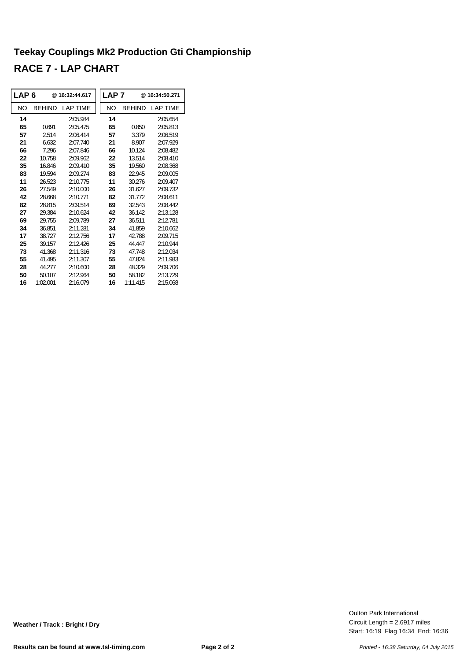# **Teekay Couplings Mk2 Production Gti Championship RACE 7 - LAP CHART**

| LAP 6 |               | @16:32:44.617   | LAP <sub>7</sub> |               | @ 16:34:50.271   |
|-------|---------------|-----------------|------------------|---------------|------------------|
| NΟ    | <b>BEHIND</b> | <b>LAP TIME</b> | NO               | <b>BEHIND</b> | <b>I AP TIMF</b> |
| 14    |               | 2:05.984        | 14               |               | 2:05.654         |
| 65    | 0.691         | 2:05.475        | 65               | 0.850         | 2:05.813         |
| 57    | 2.514         | 2:06.414        | 57               | 3.379         | 2:06.519         |
| 21    | 6.632         | 2:07.740        | 21               | 8.907         | 2:07.929         |
| 66    | 7.296         | 2:07.846        | 66               | 10.124        | 2:08.482         |
| 22    | 10.758        | 2:09.962        | 22               | 13.514        | 2:08.410         |
| 35    | 16846         | 2.09410         | 35               | 19.560        | 2:08.368         |
| 83    | 19.594        | 2:09.274        | 83               | 22.945        | 2:09.005         |
| 11    | 26.523        | 2:10.775        | 11               | 30.276        | 2:09.407         |
| 26    | 27.549        | 2:10.000        | 26               | 31.627        | 2:09.732         |
| 42    | 28.668        | 2:10.771        | 82               | 31.772        | 2:08.611         |
| 82    | 28.815        | 2:09.514        | 69               | 32.543        | 2:08.442         |
| 27    | 29.384        | 2:10.624        | 42               | 36 142        | 2:13.128         |
| 69    | 29.755        | 2:09.789        | 27               | 36.511        | 2:12.781         |
| 34    | 36.851        | 2:11.281        | 34               | 41.859        | 2:10.662         |
| 17    | 38.727        | 2:12.756        | 17               | 42.788        | 2:09.715         |
| 25    | 39.157        | 2:12.426        | 25               | 44.447        | 2:10.944         |
| 73    | 41.368        | 2:11.316        | 73               | 47.748        | 2:12.034         |
| 55    | 41.495        | 2:11.307        | 55               | 47.824        | 2:11.983         |
| 28    | 44.277        | 2:10.600        | 28               | 48.329        | 2:09.706         |
| 50    | 50.107        | 2:12.964        | 50               | 58.182        | 2:13.729         |
| 16    | 1:02.001      | 2:16.079        | 16               | 1:11.415      | 2:15.068         |

Start: 16:19 Flag 16:34 End: 16:36 Circuit Length = 2.6917 miles Oulton Park International

**Weather / Track : Bright / Dry**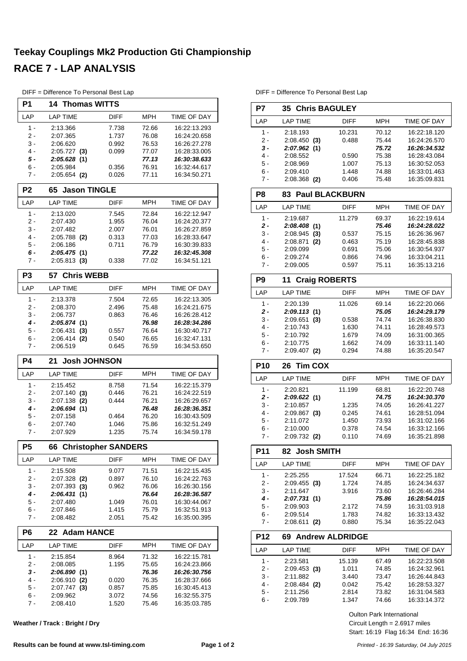# **Teekay Couplings Mk2 Production Gti Championship RACE 7 - LAP ANALYSIS**

| DIFF = Difference To Personal Best Lap |  |  |  |  |  |  |
|----------------------------------------|--|--|--|--|--|--|
|----------------------------------------|--|--|--|--|--|--|

| P1             | <b>14 Thomas WITTS</b>             |                |                |                              |
|----------------|------------------------------------|----------------|----------------|------------------------------|
|                |                                    |                |                |                              |
| LAP            | <b>LAP TIME</b>                    | <b>DIFF</b>    | <b>MPH</b>     | <b>TIME OF DAY</b>           |
| 1 -            | 2:13.366                           | 7.738          | 72.66          | 16:22:13.293                 |
| 2 -            | 2:07.365                           | 1.737          | 76.08<br>76.53 | 16:24:20.658                 |
| 3 -<br>4 -     | 2:06.620<br>$2:05.727$ (3)         | 0.992<br>0.099 | 77.07          | 16:26:27.278<br>16:28:33.005 |
| 5 -            | 2:05.628(1)                        |                | 77.13          | 16:30:38.633                 |
| 6 -            | 2:05.984                           | 0.356          | 76.91          | 16:32:44.617                 |
| $7 -$          | $2:05.654$ (2)                     | 0.026          | 77.11          | 16:34:50.271                 |
| P <sub>2</sub> | <b>Jason TINGLE</b><br>65          |                |                |                              |
| LAP            | <b>LAP TIME</b>                    | <b>DIFF</b>    | <b>MPH</b>     | TIME OF DAY                  |
| $1 -$          | 2:13.020                           | 7.545          | 72.84          | 16:22:12.947                 |
| 2 -            | 2:07.430                           | 1.955          | 76.04          | 16:24:20.377                 |
| 3 -            | 2:07.482                           | 2.007          | 76.01          | 16:26:27.859                 |
| 4 -<br>5 -     | $2:05.788$ (2)<br>2:06.186         | 0.313<br>0.711 | 77.03<br>76.79 | 16:28:33.647<br>16:30:39.833 |
| 6 -            | 2:05.475(1)                        |                | 77.22          | 16:32:45.308                 |
| 7 -            | $2:05.813$ (3)                     | 0.338          | 77.02          | 16:34:51.121                 |
| P <sub>3</sub> | <b>Chris WEBB</b><br>57            |                |                |                              |
| LAP            | <b>LAP TIME</b>                    | DIFF           | <b>MPH</b>     | TIME OF DAY                  |
| $1 -$          | 2:13.378                           | 7.504          | 72.65          | 16:22:13.305                 |
| 2 -            | 2:08.370                           | 2.496          | 75.48          | 16:24:21.675                 |
| 3 -            | 2:06.737                           | 0.863          | 76.46          | 16:26:28.412                 |
| 4 -<br>$5 -$   | 2:05.874(1)                        |                | 76.98          | 16:28:34.286                 |
| 6 -            | 2:06.431<br>(3)<br>2:06.414<br>(2) | 0.557<br>0.540 | 76.64<br>76.65 | 16:30:40.717<br>16:32:47.131 |
| 7 -            | 2:06.519                           | 0.645          | 76.59          | 16:34:53.650                 |
|                |                                    |                |                |                              |
| <b>P4</b>      | <b>Josh JOHNSON</b><br>21          |                |                |                              |
| LAP            | <b>LAP TIME</b>                    | DIFF           | MPH            | TIME OF DAY                  |
| $1 -$          |                                    |                |                |                              |
| 2 -            | 2:15.452                           | 8.758<br>0.446 | 71.54<br>76.21 | 16:22:15.379<br>16:24:22.519 |
| 3 -            | $2:07.140$ (3)<br>2:07.138<br>(2)  | 0.444          | 76.21          | 16:26:29.657                 |
| 4 -            | 2:06.694(1)                        |                | 76.48          | 16:28:36.351                 |
| 5 -            | 2:07.158                           | 0.464          | 76.20          | 16:30:43.509                 |
| 6 -            | 2:07.740                           | 1.046          | 75.86          | 16:32:51.249                 |
| 7 -            | 2:07.929                           | 1.235          | 75.74          | 16:34:59.178                 |
| P <sub>5</sub> | 66<br><b>Christopher SANDERS</b>   |                |                |                              |
| LAP            | <b>LAP TIME</b>                    | DIFF           | MPH            | TIME OF DAY                  |
| 1 -            | 2:15.508                           | 9.077          | 71.51          | 16:22:15.435                 |
| 2 -            | $2:07.328$ (2)                     | 0.897          | 76.10          | 16:24:22.763                 |
| $3 -$          | 2:07.393<br>(3)                    | 0.962          | 76.06          | 16:26:30.156                 |
| 4 -<br>$5 -$   | 2:06.431<br>(1)<br>2:07.480        | 1.049          | 76.64<br>76.01 | 16:28:36.587<br>16:30:44.067 |
| 6 -            | 2:07.846                           | 1.415          | 75.79          | 16:32:51.913                 |
| 7 -            | 2:08.482                           | 2.051          | 75.42          | 16:35:00.395                 |
| P6             | <b>Adam HANCE</b><br>22            |                |                |                              |
| LAP            | <b>LAP TIME</b>                    | DIFF           | MPH            | TIME OF DAY                  |
| $1 -$          | 2:15.854                           | 8.964          | 71.32          | 16:22:15.781                 |
| 2 -            | 2:08.085                           | 1.195          | 75.65          | 16:24:23.866                 |
| 3 -            | 2:06.890 (1)                       |                | 76.36          | 16:26:30.756                 |
| 4 -            | $2:06.910$ (2)                     | 0.020          | 76.35          | 16:28:37.666                 |
| 5 -<br>6 -     | $2:07.747$ (3)<br>2:09.962         | 0.857<br>3.072 | 75.85<br>74.56 | 16:30:45.413<br>16:32:55.375 |

**Weather / Track : Bright / Dry**

DIFF = Difference To Personal Best Lap

| P7             | <b>35 Chris BAGULEY</b>        |                |                |                              |
|----------------|--------------------------------|----------------|----------------|------------------------------|
| LAP            | <b>LAP TIME</b>                | <b>DIFF</b>    | <b>MPH</b>     | <b>TIME OF DAY</b>           |
| $1 -$          | 2:18.193                       | 10.231         | 70.12          | 16:22:18.120                 |
| 2 -            | $2:08.450$ (3)                 | 0.488          | 75.44          | 16:24:26.570                 |
| 3 -<br>4 -     | 2:07.962 (1)                   |                | 75.72          | 16:26:34.532                 |
| 5 -            | 2:08.552<br>2:08.969           | 0.590<br>1.007 | 75.38<br>75.13 | 16:28:43.084<br>16:30:52.053 |
| 6 -            | 2:09.410                       | 1.448          | 74.88          | 16:33:01.463                 |
| 7 -            | 2:08.368 (2)                   | 0.406          | 75.48          | 16:35:09.831                 |
| P8             | 83 Paul BLACKBURN              |                |                |                              |
| LAP            | <b>LAP TIME</b>                | <b>DIFF</b>    | <b>MPH</b>     | TIME OF DAY                  |
| 1 -            | 2:19.687                       | 11.279         | 69.37          | 16:22:19.614                 |
| $2 -$          | 2:08.408(1)                    |                | 75.46          | 16:24:28.022                 |
| 3 -            | 2:08.945<br>(3)                | 0.537          | 75.15          | 16:26:36.967                 |
| 4 -            | 2:08.871<br>(2)                | 0.463          | 75.19          | 16:28:45.838                 |
| 5 -<br>6 -     | 2:09.099<br>2:09.274           | 0.691<br>0.866 | 75.06<br>74.96 | 16:30:54.937<br>16:33:04.211 |
| 7 -            | 2:09.005                       | 0.597          | 75.11          | 16:35:13.216                 |
|                |                                |                |                |                              |
| P <sub>9</sub> | <b>Craig ROBERTS</b><br>11     |                |                |                              |
| LAP            | <b>LAP TIME</b>                | <b>DIFF</b>    | <b>MPH</b>     | <b>TIME OF DAY</b>           |
| $1 -$<br>2 -   | 2:20.139                       | 11.026         | 69.14          | 16:22:20.066                 |
| 3 -            | 2:09.113(1)<br>2:09.651<br>(3) | 0.538          | 75.05<br>74.74 | 16:24:29.179<br>16:26:38.830 |
| $4 -$          | 2:10.743                       | 1.630          | 74.11          | 16:28:49.573                 |
| 5 -            | 2:10.792                       | 1.679          | 74.09          | 16:31:00.365                 |
| 6 -            | 2:10.775                       | 1.662          | 74.09          | 16:33:11.140                 |
| 7 -            | $2:09.407$ (2)                 | 0.294          | 74.88          | 16:35:20.547                 |
|                |                                |                |                |                              |
| <b>P10</b>     | <b>Tim COX</b><br>26           |                |                |                              |
| LAP            | <b>LAP TIME</b>                | <b>DIFF</b>    | <b>MPH</b>     | TIME OF DAY                  |
| 1 -            | 2:20.821                       | 11.199         | 68.81          | 16:22:20.748                 |
| 2 -            | 2:09.622 (1)                   |                | 74.75          | 16:24:30.370                 |
| 3 -            | 2:10.857                       | 1.235          | 74.05          | 16:26:41.227                 |
| 4 -            | $2:09.867$ (3)                 | 0.245          | 74.61          | 16:28:51.094                 |
| 5 -            | 2:11.072                       | 1.450          | 73.93          | 16:31:02.166                 |
| 6 -            | 2:10.000                       | 0.378          | 74.54          | 16:33:12.166                 |
| 7 -            | 2:09.732 (2)                   | 0.110          | 74.69          | 16:35:21.898                 |
| P11            | 82 Josh SMITH                  |                |                |                              |
| LAP            | LAP TIME                       | DIFF           | MPH            | TIME OF DAY                  |
| 1 -            | 2:25.255                       | 17.524         | 66.71          | 16:22:25.182                 |
| $2 -$          | $2:09.455$ (3)                 | 1.724          | 74.85          | 16:24:34.637                 |
| 3 -            | 2:11.647                       | 3.916          | 73.60          | 16:26:46.284                 |
| 4 -            | 2:07.731 (1)                   |                | 75.86          | 16:28:54.015                 |
| 5 -            | 2:09.903                       | 2.172          | 74.59          | 16:31:03.918                 |
| 6 -<br>7 -     | 2:09.514<br>$2:08.611$ (2)     | 1.783<br>0.880 | 74.82<br>75.34 | 16:33:13.432<br>16:35:22.043 |
| P12            | <b>69 Andrew ALDRIDGE</b>      |                |                |                              |
| LAP            | <b>LAP TIME</b>                | DIFF           | <b>MPH</b>     | <b>TIME OF DAY</b>           |
| $1 -$          | 2:23.581                       | 15.139         | 67.49          |                              |
| $2 -$          | $2:09.453$ (3)                 | 1.011          | 74.85          | 16:22:23.508<br>16:24:32.961 |
| 3 -            | 2:11.882                       | 3.440          | 73.47          | 16:26:44.843                 |
| 4 -            | 2:08.484 (2)                   | 0.042          | 75.42          | 16:28:53.327                 |
| 5 -<br>6 -     | 2:11.256<br>2:09.789           | 2.814<br>1.347 | 73.82<br>74.66 | 16:31:04.583<br>16:33:14.372 |

Start: 16:19 Flag 16:34 End: 16:36 Circuit Length = 2.6917 miles Oulton Park International